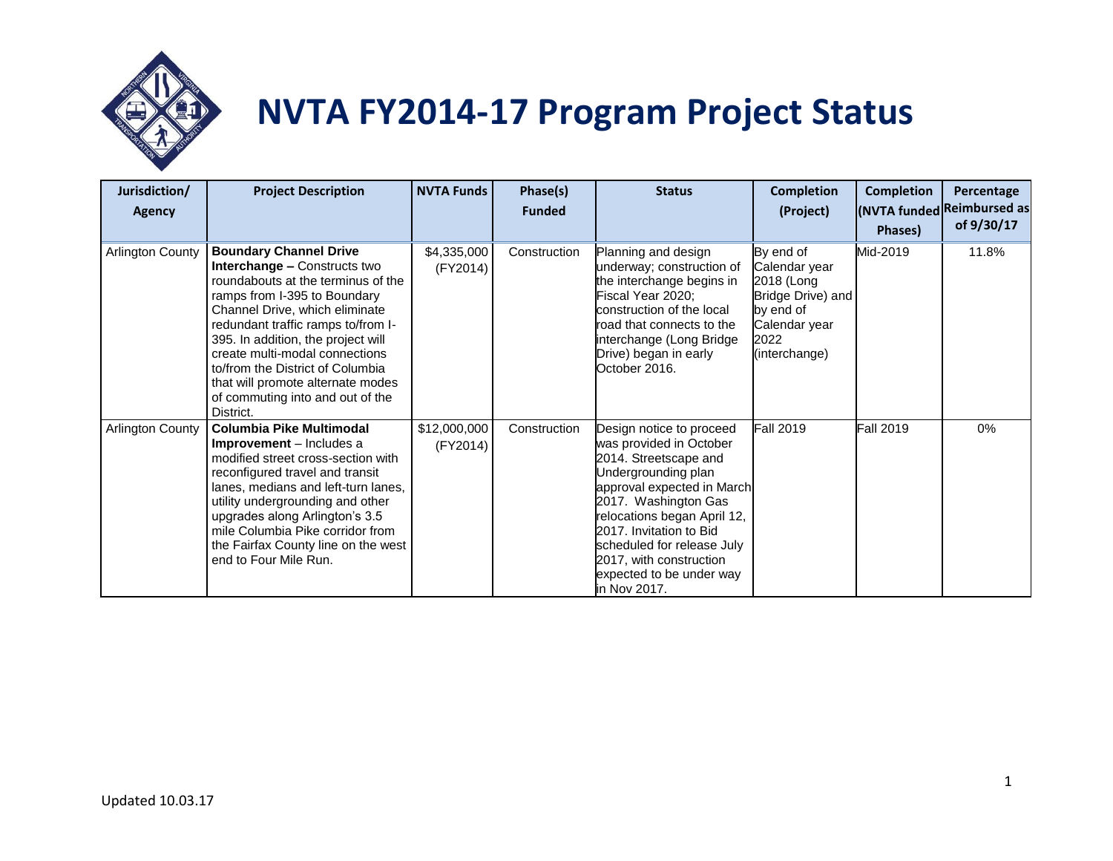

## **NVTA FY2014-17 Program Project Status**

| Jurisdiction/<br><b>Agency</b> | <b>Project Description</b>                                                                                                                                                                                                                                                                                                                                                                                           | <b>NVTA Funds</b>        | Phase(s)<br><b>Funded</b> | <b>Status</b>                                                                                                                                                                                                                                                                                                            | <b>Completion</b><br>(Project)                                                                                       | <b>Completion</b><br>Phases) | Percentage<br>(NVTA funded Reimbursed as<br>of 9/30/17 |
|--------------------------------|----------------------------------------------------------------------------------------------------------------------------------------------------------------------------------------------------------------------------------------------------------------------------------------------------------------------------------------------------------------------------------------------------------------------|--------------------------|---------------------------|--------------------------------------------------------------------------------------------------------------------------------------------------------------------------------------------------------------------------------------------------------------------------------------------------------------------------|----------------------------------------------------------------------------------------------------------------------|------------------------------|--------------------------------------------------------|
| <b>Arlington County</b>        | <b>Boundary Channel Drive</b><br><b>Interchange - Constructs two</b><br>roundabouts at the terminus of the<br>ramps from I-395 to Boundary<br>Channel Drive, which eliminate<br>redundant traffic ramps to/from I-<br>395. In addition, the project will<br>create multi-modal connections<br>to/from the District of Columbia<br>that will promote alternate modes<br>of commuting into and out of the<br>District. | \$4,335,000<br>(FY2014)  | Construction              | Planning and design<br>underway; construction of<br>the interchange begins in<br>Fiscal Year 2020;<br>construction of the local<br>road that connects to the<br>interchange (Long Bridge<br>Drive) began in early<br>October 2016.                                                                                       | By end of<br>Calendar year<br>2018 (Long<br>Bridge Drive) and<br>by end of<br>Calendar year<br>2022<br>(interchange) | Mid-2019                     | 11.8%                                                  |
| <b>Arlington County</b>        | <b>Columbia Pike Multimodal</b><br>Improvement - Includes a<br>modified street cross-section with<br>reconfigured travel and transit<br>lanes, medians and left-turn lanes,<br>utility undergrounding and other<br>upgrades along Arlington's 3.5<br>mile Columbia Pike corridor from<br>the Fairfax County line on the west<br>end to Four Mile Run.                                                                | \$12,000,000<br>(FY2014) | Construction              | Design notice to proceed<br>was provided in October<br>2014. Streetscape and<br>Undergrounding plan<br>approval expected in March<br>2017. Washington Gas<br>relocations began April 12,<br>2017. Invitation to Bid<br>scheduled for release July<br>2017, with construction<br>expected to be under way<br>in Nov 2017. | <b>Fall 2019</b>                                                                                                     | <b>Fall 2019</b>             | 0%                                                     |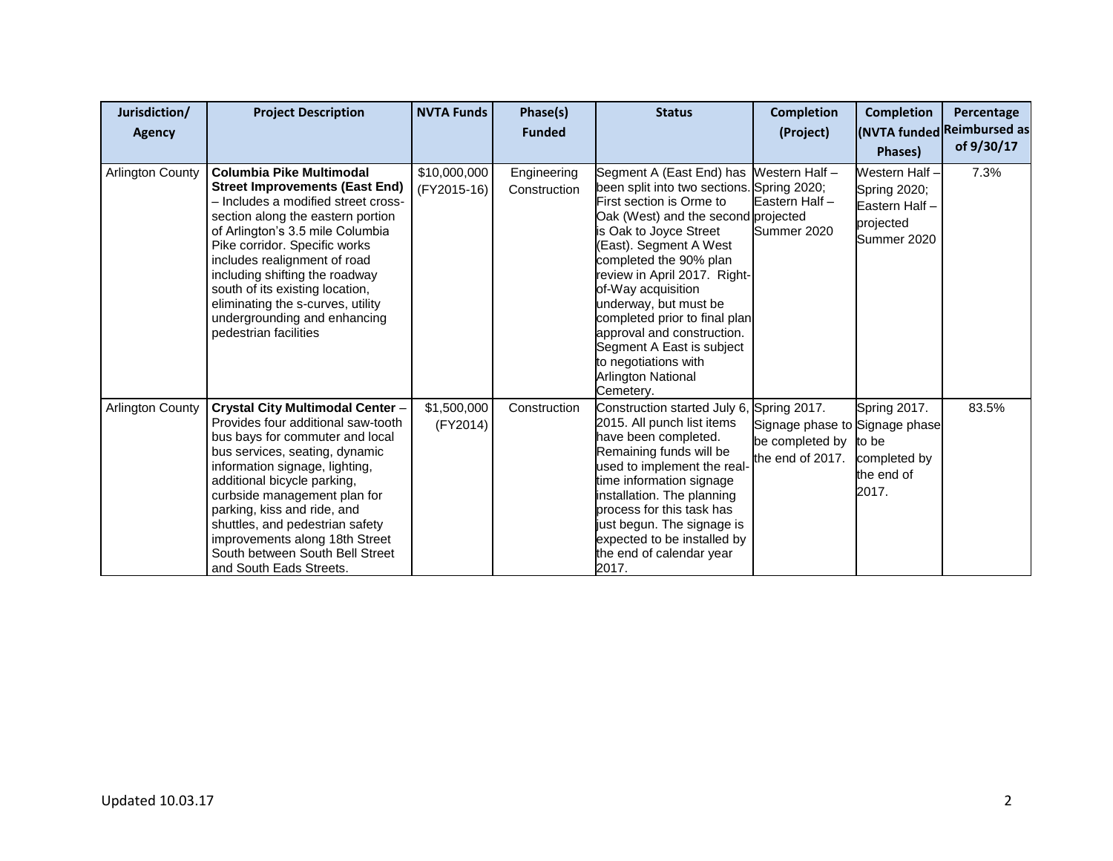| Jurisdiction/           | <b>Project Description</b>                                                                                                                                                                                                                                                                                                                                                                                            | <b>NVTA Funds</b>           | Phase(s)                    | <b>Status</b>                                                                                                                                                                                                                                                                                                                                                                                                                                                                       | <b>Completion</b>                                                                     | <b>Completion</b>                                                           | Percentage                               |
|-------------------------|-----------------------------------------------------------------------------------------------------------------------------------------------------------------------------------------------------------------------------------------------------------------------------------------------------------------------------------------------------------------------------------------------------------------------|-----------------------------|-----------------------------|-------------------------------------------------------------------------------------------------------------------------------------------------------------------------------------------------------------------------------------------------------------------------------------------------------------------------------------------------------------------------------------------------------------------------------------------------------------------------------------|---------------------------------------------------------------------------------------|-----------------------------------------------------------------------------|------------------------------------------|
| <b>Agency</b>           |                                                                                                                                                                                                                                                                                                                                                                                                                       |                             | <b>Funded</b>               |                                                                                                                                                                                                                                                                                                                                                                                                                                                                                     | (Project)                                                                             | <b>Phases</b> )                                                             | (NVTA funded Reimbursed as<br>of 9/30/17 |
| <b>Arlington County</b> | Columbia Pike Multimodal<br><b>Street Improvements (East End)</b><br>- Includes a modified street cross-<br>section along the eastern portion<br>of Arlington's 3.5 mile Columbia<br>Pike corridor. Specific works<br>includes realignment of road<br>including shifting the roadway<br>south of its existing location,<br>eliminating the s-curves, utility<br>undergrounding and enhancing<br>pedestrian facilities | \$10,000,000<br>(FY2015-16) | Engineering<br>Construction | Segment A (East End) has Western Half -<br>been split into two sections. Spring 2020;<br>First section is Orme to<br>Oak (West) and the second projected<br>is Oak to Joyce Street<br>(East). Segment A West<br>completed the 90% plan<br>review in April 2017. Right-<br>of-Way acquisition<br>underway, but must be<br>completed prior to final plan<br>approval and construction.<br>Segment A East is subject<br>to negotiations with<br><b>Arlington National</b><br>Cemetery. | Eastern Half -<br>Summer 2020                                                         | Western Half -<br>Spring 2020;<br>Eastern Half-<br>projected<br>Summer 2020 | 7.3%                                     |
| <b>Arlington County</b> | Crystal City Multimodal Center -<br>Provides four additional saw-tooth<br>bus bays for commuter and local<br>bus services, seating, dynamic<br>information signage, lighting,<br>additional bicycle parking,<br>curbside management plan for<br>parking, kiss and ride, and<br>shuttles, and pedestrian safety<br>improvements along 18th Street<br>South between South Bell Street<br>and South Eads Streets.        | \$1,500,000<br>(FY2014)     | Construction                | Construction started July 6,<br>2015. All punch list items<br>have been completed.<br>Remaining funds will be<br>used to implement the real-<br>time information signage<br>installation. The planning<br>process for this task has<br>just begun. The signage is<br>expected to be installed by<br>the end of calendar year<br>2017.                                                                                                                                               | Spring 2017.<br>Signage phase to Signage phase<br>be completed by<br>the end of 2017. | Spring 2017.<br>to be<br>completed by<br>the end of<br>2017.                | 83.5%                                    |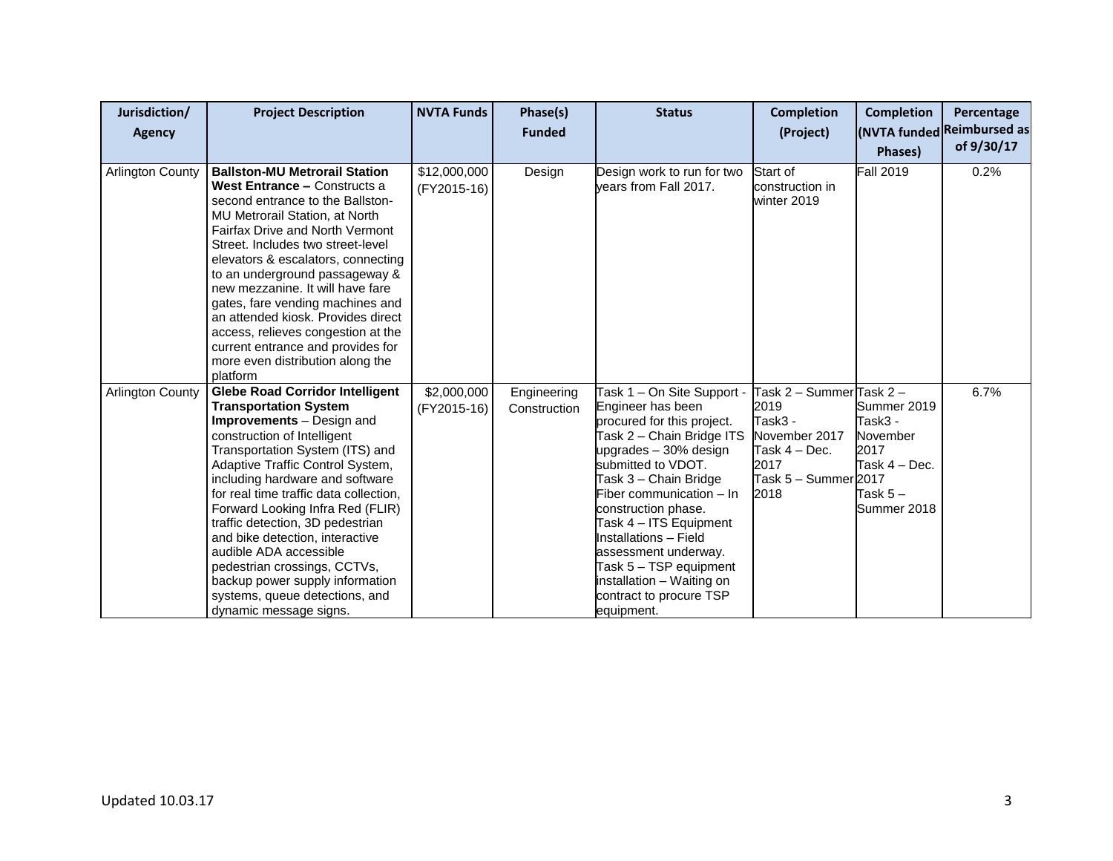| Jurisdiction/<br><b>Agency</b> | <b>Project Description</b>                                                                                                                                                                                                                                                                                                                                                                                                                                                                                                                                        | <b>NVTA Funds</b>           | Phase(s)<br><b>Funded</b>   | <b>Status</b>                                                                                                                                                                                                                                                                                                                                                                                                    | <b>Completion</b><br>(Project)                                                                                       | <b>Completion</b><br>Phases)                                                             | Percentage<br>(NVTA funded Reimbursed as<br>of 9/30/17 |
|--------------------------------|-------------------------------------------------------------------------------------------------------------------------------------------------------------------------------------------------------------------------------------------------------------------------------------------------------------------------------------------------------------------------------------------------------------------------------------------------------------------------------------------------------------------------------------------------------------------|-----------------------------|-----------------------------|------------------------------------------------------------------------------------------------------------------------------------------------------------------------------------------------------------------------------------------------------------------------------------------------------------------------------------------------------------------------------------------------------------------|----------------------------------------------------------------------------------------------------------------------|------------------------------------------------------------------------------------------|--------------------------------------------------------|
| <b>Arlington County</b>        | <b>Ballston-MU Metrorail Station</b><br>West Entrance - Constructs a<br>second entrance to the Ballston-<br>MU Metrorail Station, at North<br><b>Fairfax Drive and North Vermont</b><br>Street. Includes two street-level<br>elevators & escalators, connecting<br>to an underground passageway &<br>new mezzanine. It will have fare<br>gates, fare vending machines and<br>an attended kiosk. Provides direct<br>access, relieves congestion at the<br>current entrance and provides for<br>more even distribution along the<br>platform                        | \$12,000,000<br>(FY2015-16) | Design                      | Design work to run for two<br>vears from Fall 2017.                                                                                                                                                                                                                                                                                                                                                              | Start of<br>construction in<br>winter 2019                                                                           | <b>Fall 2019</b>                                                                         | 0.2%                                                   |
| <b>Arlington County</b>        | <b>Glebe Road Corridor Intelligent</b><br><b>Transportation System</b><br><b>Improvements</b> - Design and<br>construction of Intelligent<br>Transportation System (ITS) and<br>Adaptive Traffic Control System,<br>including hardware and software<br>for real time traffic data collection,<br>Forward Looking Infra Red (FLIR)<br>traffic detection, 3D pedestrian<br>and bike detection, interactive<br>audible ADA accessible<br>pedestrian crossings, CCTVs,<br>backup power supply information<br>systems, queue detections, and<br>dynamic message signs. | \$2,000,000<br>(FY2015-16)  | Engineering<br>Construction | Task 1 - On Site Support -<br>Engineer has been<br>procured for this project.<br>Task 2 – Chain Bridge ITS<br>upgrades - 30% design<br>submitted to VDOT.<br>Task 3 – Chain Bridge<br>Fiber communication - In<br>construction phase.<br>Task 4 - ITS Equipment<br>Installations - Field<br>assessment underway.<br>Task 5 - TSP equipment<br>installation - Waiting on<br>contract to procure TSP<br>equipment. | Task 2 – Summer∏ask 2 –<br>2019<br>Task3 -<br>November 2017<br>Task 4 – Dec.<br>2017<br>Task 5 – Summer 2017<br>2018 | Summer 2019<br>Task3 -<br>November<br>2017<br>Task 4 - Dec.<br>Task 5 $-$<br>Summer 2018 | 6.7%                                                   |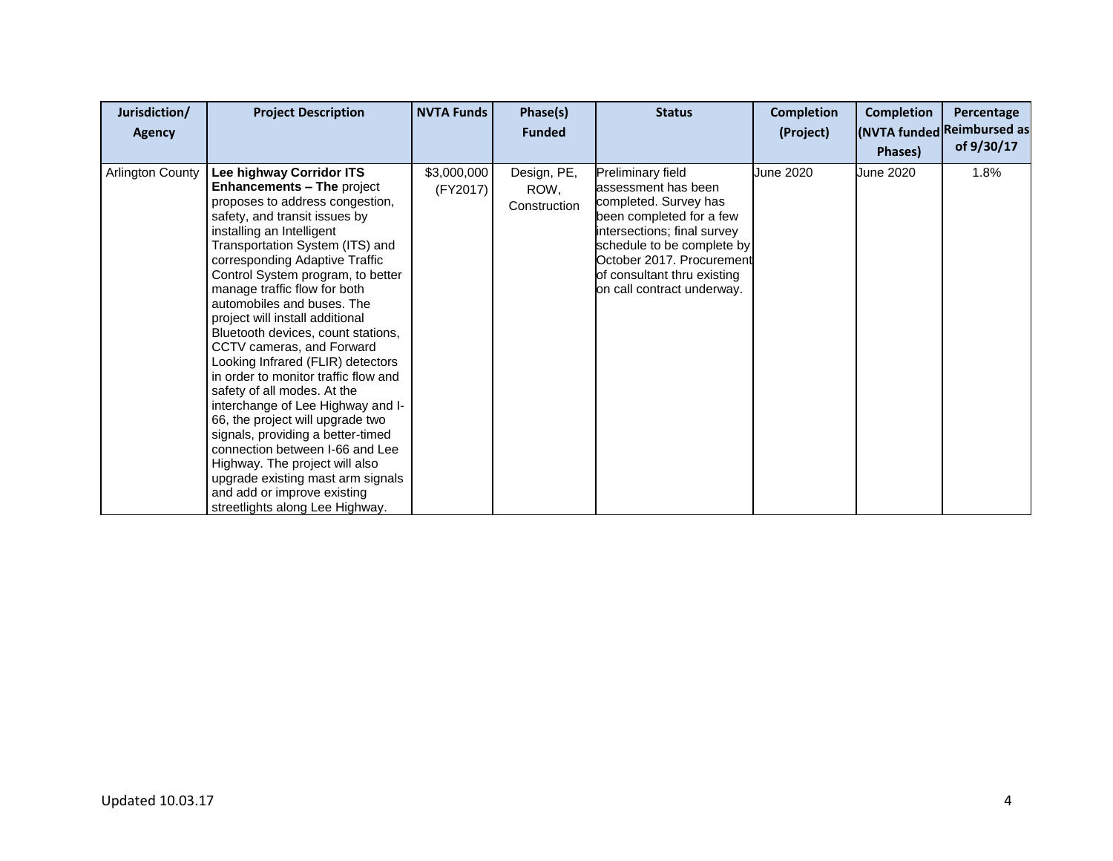| Jurisdiction/<br><b>Agency</b> | <b>Project Description</b>                                                                                                                                                                                                                                                                                                                                                                                                                                                                                                                                                                                                                                                                                                                                                                                                                         | <b>NVTA Funds</b>       | Phase(s)<br><b>Funded</b>           | <b>Status</b>                                                                                                                                                                                                                                        | <b>Completion</b><br>(Project) | <b>Completion</b><br>Phases) | Percentage<br>(NVTA funded Reimbursed as<br>of 9/30/17 |
|--------------------------------|----------------------------------------------------------------------------------------------------------------------------------------------------------------------------------------------------------------------------------------------------------------------------------------------------------------------------------------------------------------------------------------------------------------------------------------------------------------------------------------------------------------------------------------------------------------------------------------------------------------------------------------------------------------------------------------------------------------------------------------------------------------------------------------------------------------------------------------------------|-------------------------|-------------------------------------|------------------------------------------------------------------------------------------------------------------------------------------------------------------------------------------------------------------------------------------------------|--------------------------------|------------------------------|--------------------------------------------------------|
| <b>Arlington County</b>        | Lee highway Corridor ITS<br><b>Enhancements - The project</b><br>proposes to address congestion,<br>safety, and transit issues by<br>installing an Intelligent<br>Transportation System (ITS) and<br>corresponding Adaptive Traffic<br>Control System program, to better<br>manage traffic flow for both<br>automobiles and buses. The<br>project will install additional<br>Bluetooth devices, count stations,<br>CCTV cameras, and Forward<br>Looking Infrared (FLIR) detectors<br>in order to monitor traffic flow and<br>safety of all modes. At the<br>interchange of Lee Highway and I-<br>66, the project will upgrade two<br>signals, providing a better-timed<br>connection between I-66 and Lee<br>Highway. The project will also<br>upgrade existing mast arm signals<br>and add or improve existing<br>streetlights along Lee Highway. | \$3,000,000<br>(FY2017) | Design, PE,<br>ROW,<br>Construction | Preliminary field<br>assessment has been<br>completed. Survey has<br>been completed for a few<br>intersections; final survey<br>schedule to be complete by<br>October 2017. Procurement<br>of consultant thru existing<br>on call contract underway. | June 2020                      | June 2020                    | 1.8%                                                   |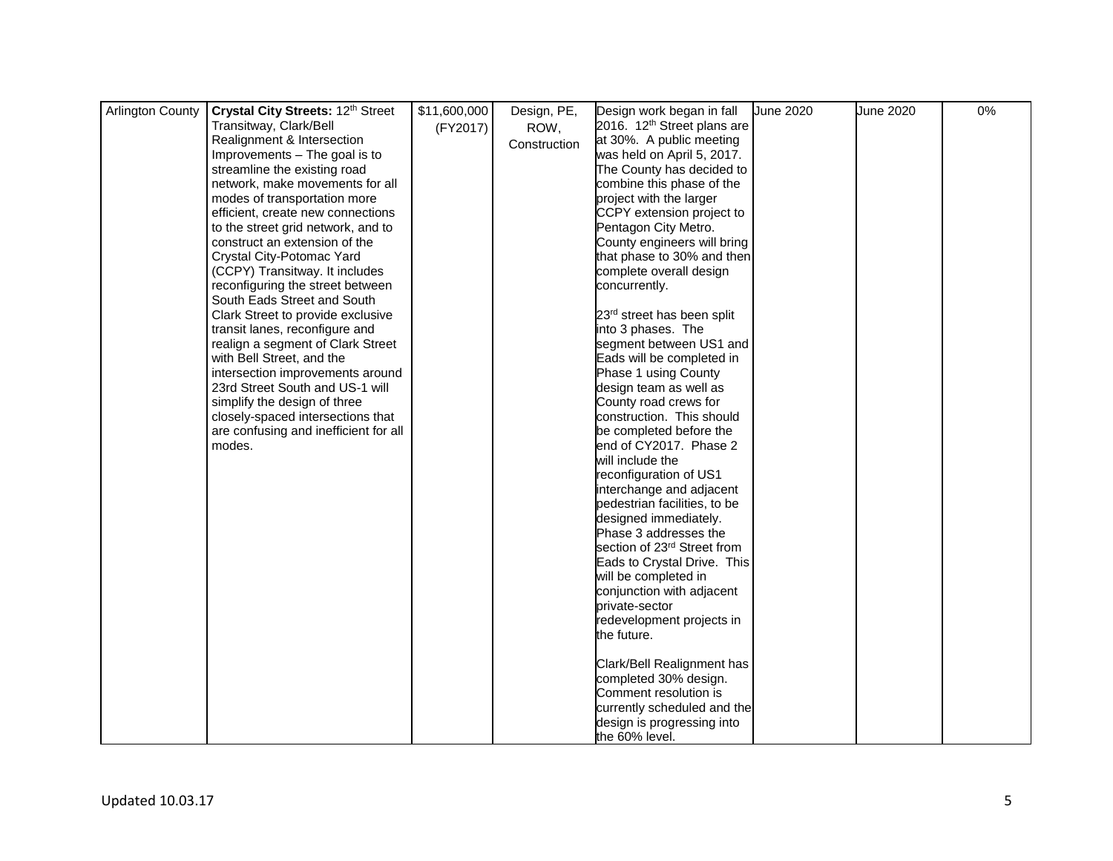| <b>Arlington County</b> | Crystal City Streets: 12th Street                                   | \$11,600,000 | Design, PE,  | Design work began in fall               | <b>June 2020</b> | <b>June 2020</b> | 0% |
|-------------------------|---------------------------------------------------------------------|--------------|--------------|-----------------------------------------|------------------|------------------|----|
|                         | Transitway, Clark/Bell                                              |              |              | 2016. 12 <sup>th</sup> Street plans are |                  |                  |    |
|                         | Realignment & Intersection                                          | (FY2017)     | ROW,         | at 30%. A public meeting                |                  |                  |    |
|                         | Improvements - The goal is to                                       |              | Construction | was held on April 5, 2017.              |                  |                  |    |
|                         | streamline the existing road                                        |              |              | The County has decided to               |                  |                  |    |
|                         | network, make movements for all                                     |              |              | combine this phase of the               |                  |                  |    |
|                         | modes of transportation more                                        |              |              | project with the larger                 |                  |                  |    |
|                         | efficient, create new connections                                   |              |              | CCPY extension project to               |                  |                  |    |
|                         | to the street grid network, and to                                  |              |              | Pentagon City Metro.                    |                  |                  |    |
|                         | construct an extension of the                                       |              |              | County engineers will bring             |                  |                  |    |
|                         | Crystal City-Potomac Yard                                           |              |              | that phase to 30% and then              |                  |                  |    |
|                         | (CCPY) Transitway. It includes                                      |              |              | complete overall design                 |                  |                  |    |
|                         | reconfiguring the street between                                    |              |              | concurrently.                           |                  |                  |    |
|                         | South Eads Street and South                                         |              |              |                                         |                  |                  |    |
|                         | Clark Street to provide exclusive                                   |              |              | 23rd street has been split              |                  |                  |    |
|                         | transit lanes, reconfigure and                                      |              |              | into 3 phases. The                      |                  |                  |    |
|                         | realign a segment of Clark Street                                   |              |              | segment between US1 and                 |                  |                  |    |
|                         | with Bell Street, and the                                           |              |              | Eads will be completed in               |                  |                  |    |
|                         |                                                                     |              |              |                                         |                  |                  |    |
|                         | intersection improvements around<br>23rd Street South and US-1 will |              |              | Phase 1 using County                    |                  |                  |    |
|                         |                                                                     |              |              | design team as well as                  |                  |                  |    |
|                         | simplify the design of three                                        |              |              | County road crews for                   |                  |                  |    |
|                         | closely-spaced intersections that                                   |              |              | construction. This should               |                  |                  |    |
|                         | are confusing and inefficient for all                               |              |              | be completed before the                 |                  |                  |    |
|                         | modes.                                                              |              |              | end of CY2017. Phase 2                  |                  |                  |    |
|                         |                                                                     |              |              | will include the                        |                  |                  |    |
|                         |                                                                     |              |              | reconfiguration of US1                  |                  |                  |    |
|                         |                                                                     |              |              | interchange and adjacent                |                  |                  |    |
|                         |                                                                     |              |              | pedestrian facilities, to be            |                  |                  |    |
|                         |                                                                     |              |              | designed immediately.                   |                  |                  |    |
|                         |                                                                     |              |              | Phase 3 addresses the                   |                  |                  |    |
|                         |                                                                     |              |              | section of 23 <sup>rd</sup> Street from |                  |                  |    |
|                         |                                                                     |              |              | Eads to Crystal Drive. This             |                  |                  |    |
|                         |                                                                     |              |              | will be completed in                    |                  |                  |    |
|                         |                                                                     |              |              | conjunction with adjacent               |                  |                  |    |
|                         |                                                                     |              |              | private-sector                          |                  |                  |    |
|                         |                                                                     |              |              | redevelopment projects in               |                  |                  |    |
|                         |                                                                     |              |              | the future.                             |                  |                  |    |
|                         |                                                                     |              |              |                                         |                  |                  |    |
|                         |                                                                     |              |              | Clark/Bell Realignment has              |                  |                  |    |
|                         |                                                                     |              |              | completed 30% design.                   |                  |                  |    |
|                         |                                                                     |              |              | Comment resolution is                   |                  |                  |    |
|                         |                                                                     |              |              | currently scheduled and the             |                  |                  |    |
|                         |                                                                     |              |              | design is progressing into              |                  |                  |    |
|                         |                                                                     |              |              | the 60% level.                          |                  |                  |    |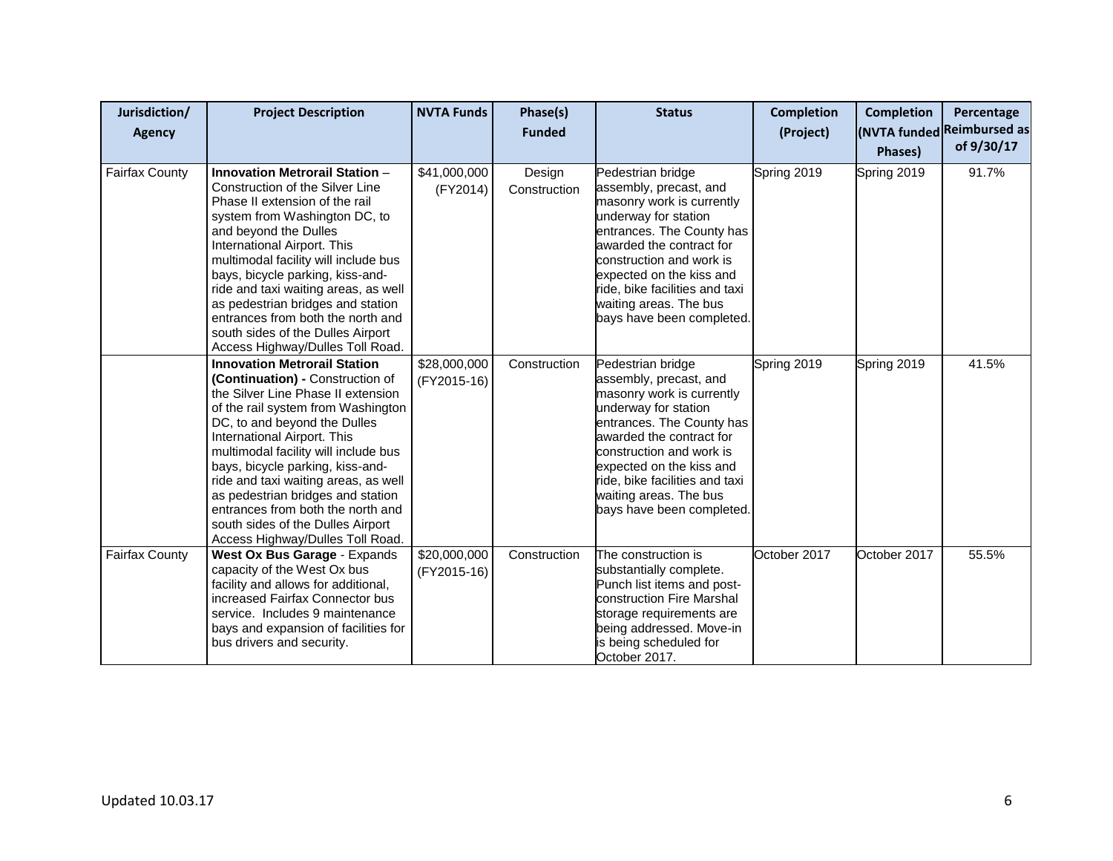| Jurisdiction/<br><b>Agency</b> | <b>Project Description</b>                                                                                                                                                                                                                                                                                                                                                                                                                                                                | <b>NVTA Funds</b>           | Phase(s)<br><b>Funded</b> | <b>Status</b>                                                                                                                                                                                                                                                                                              | <b>Completion</b><br>(Project) | <b>Completion</b><br><b>Phases</b> ) | Percentage<br>(NVTA funded Reimbursed as<br>of 9/30/17 |
|--------------------------------|-------------------------------------------------------------------------------------------------------------------------------------------------------------------------------------------------------------------------------------------------------------------------------------------------------------------------------------------------------------------------------------------------------------------------------------------------------------------------------------------|-----------------------------|---------------------------|------------------------------------------------------------------------------------------------------------------------------------------------------------------------------------------------------------------------------------------------------------------------------------------------------------|--------------------------------|--------------------------------------|--------------------------------------------------------|
| <b>Fairfax County</b>          | <b>Innovation Metrorail Station -</b><br>Construction of the Silver Line<br>Phase II extension of the rail<br>system from Washington DC, to<br>and beyond the Dulles<br>International Airport. This<br>multimodal facility will include bus<br>bays, bicycle parking, kiss-and-<br>ride and taxi waiting areas, as well<br>as pedestrian bridges and station<br>entrances from both the north and<br>south sides of the Dulles Airport<br>Access Highway/Dulles Toll Road.                | \$41,000,000<br>(FY2014)    | Design<br>Construction    | Pedestrian bridge<br>assembly, precast, and<br>masonry work is currently<br>underway for station<br>entrances. The County has<br>awarded the contract for<br>construction and work is<br>expected on the kiss and<br>ride, bike facilities and taxi<br>waiting areas. The bus<br>bays have been completed. | Spring 2019                    | Spring 2019                          | 91.7%                                                  |
|                                | <b>Innovation Metrorail Station</b><br>(Continuation) - Construction of<br>the Silver Line Phase II extension<br>of the rail system from Washington<br>DC, to and beyond the Dulles<br>International Airport. This<br>multimodal facility will include bus<br>bays, bicycle parking, kiss-and-<br>ride and taxi waiting areas, as well<br>as pedestrian bridges and station<br>entrances from both the north and<br>south sides of the Dulles Airport<br>Access Highway/Dulles Toll Road. | \$28,000,000<br>(FY2015-16) | Construction              | Pedestrian bridge<br>assembly, precast, and<br>masonry work is currently<br>underway for station<br>entrances. The County has<br>awarded the contract for<br>construction and work is<br>expected on the kiss and<br>ride, bike facilities and taxi<br>waiting areas. The bus<br>bays have been completed. | Spring 2019                    | Spring 2019                          | 41.5%                                                  |
| <b>Fairfax County</b>          | West Ox Bus Garage - Expands<br>capacity of the West Ox bus<br>facility and allows for additional,<br>increased Fairfax Connector bus<br>service. Includes 9 maintenance<br>bays and expansion of facilities for<br>bus drivers and security.                                                                                                                                                                                                                                             | \$20,000,000<br>(FY2015-16) | Construction              | The construction is<br>substantially complete.<br>Punch list items and post-<br>construction Fire Marshal<br>storage requirements are<br>being addressed. Move-in<br>is being scheduled for<br>October 2017.                                                                                               | October 2017                   | October 2017                         | 55.5%                                                  |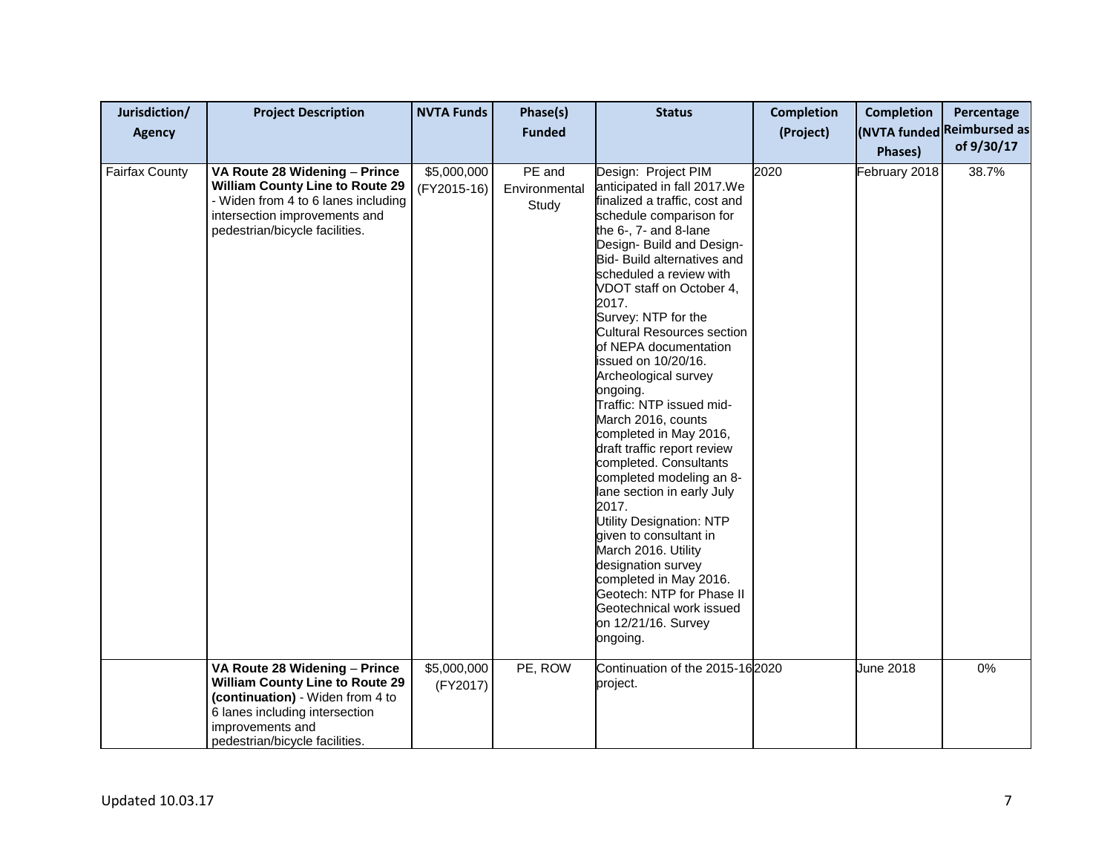| Jurisdiction/<br><b>Agency</b> | <b>Project Description</b>                                                                                                                                                                          | <b>NVTA Funds</b>          | Phase(s)<br><b>Funded</b>        | <b>Status</b>                                                                                                                                                                                                                                                                                                                                                                                                                                                                                                                                                                                                                                                                                                                                                                                                                                                | <b>Completion</b><br>(Project) | <b>Completion</b><br>Phases) | Percentage<br>(NVTA funded Reimbursed as<br>of 9/30/17 |
|--------------------------------|-----------------------------------------------------------------------------------------------------------------------------------------------------------------------------------------------------|----------------------------|----------------------------------|--------------------------------------------------------------------------------------------------------------------------------------------------------------------------------------------------------------------------------------------------------------------------------------------------------------------------------------------------------------------------------------------------------------------------------------------------------------------------------------------------------------------------------------------------------------------------------------------------------------------------------------------------------------------------------------------------------------------------------------------------------------------------------------------------------------------------------------------------------------|--------------------------------|------------------------------|--------------------------------------------------------|
| <b>Fairfax County</b>          | VA Route 28 Widening - Prince<br><b>William County Line to Route 29</b><br>- Widen from 4 to 6 lanes including<br>intersection improvements and<br>pedestrian/bicycle facilities.                   | \$5,000,000<br>(FY2015-16) | PE and<br>Environmental<br>Study | Design: Project PIM<br>anticipated in fall 2017. We<br>finalized a traffic, cost and<br>schedule comparison for<br>the 6-, 7- and 8-lane<br>Design- Build and Design-<br>Bid- Build alternatives and<br>scheduled a review with<br>VDOT staff on October 4,<br>2017.<br>Survey: NTP for the<br><b>Cultural Resources section</b><br>of NEPA documentation<br>issued on 10/20/16.<br>Archeological survey<br>ongoing.<br>Traffic: NTP issued mid-<br>March 2016, counts<br>completed in May 2016,<br>draft traffic report review<br>completed. Consultants<br>completed modeling an 8-<br>lane section in early July<br>2017.<br><b>Utility Designation: NTP</b><br>given to consultant in<br>March 2016. Utility<br>designation survey<br>completed in May 2016.<br>Geotech: NTP for Phase II<br>Geotechnical work issued<br>on 12/21/16. Survey<br>ongoing. | 2020                           | February 2018                | 38.7%                                                  |
|                                | VA Route 28 Widening - Prince<br><b>William County Line to Route 29</b><br>(continuation) - Widen from 4 to<br>6 lanes including intersection<br>improvements and<br>pedestrian/bicycle facilities. | \$5,000,000<br>(FY2017)    | PE, ROW                          | Continuation of the 2015-162020<br>project.                                                                                                                                                                                                                                                                                                                                                                                                                                                                                                                                                                                                                                                                                                                                                                                                                  |                                | June 2018                    | $0\%$                                                  |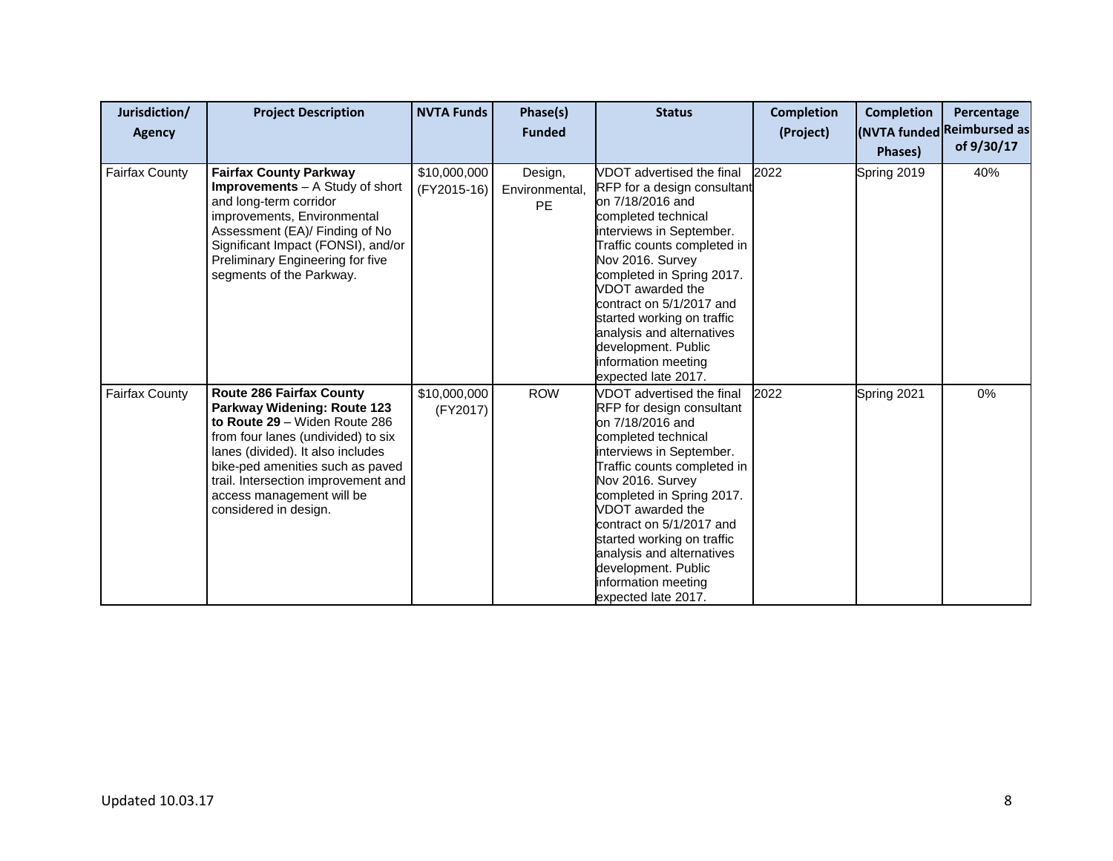| Jurisdiction/<br><b>Agency</b> | <b>Project Description</b>                                                                                                                                                                                                                                                                                  | <b>NVTA Funds</b>           | Phase(s)<br><b>Funded</b>       | <b>Status</b>                                                                                                                                                                                                                                                                                                                                                                                   | <b>Completion</b><br>(Project) | <b>Completion</b><br>Phases) | Percentage<br>(NVTA funded Reimbursed as<br>of 9/30/17 |
|--------------------------------|-------------------------------------------------------------------------------------------------------------------------------------------------------------------------------------------------------------------------------------------------------------------------------------------------------------|-----------------------------|---------------------------------|-------------------------------------------------------------------------------------------------------------------------------------------------------------------------------------------------------------------------------------------------------------------------------------------------------------------------------------------------------------------------------------------------|--------------------------------|------------------------------|--------------------------------------------------------|
| <b>Fairfax County</b>          | <b>Fairfax County Parkway</b><br><b>Improvements</b> – A Study of short<br>and long-term corridor<br>improvements, Environmental<br>Assessment (EA)/ Finding of No<br>Significant Impact (FONSI), and/or<br>Preliminary Engineering for five<br>segments of the Parkway.                                    | \$10,000,000<br>(FY2015-16) | Design,<br>Environmental,<br>PE | VDOT advertised the final<br>RFP for a design consultant<br>on 7/18/2016 and<br>completed technical<br>interviews in September.<br>Traffic counts completed in<br>Nov 2016. Survey<br>completed in Spring 2017.<br>VDOT awarded the<br>contract on 5/1/2017 and<br>started working on traffic<br>analysis and alternatives<br>development. Public<br>information meeting<br>expected late 2017. | 2022                           | Spring 2019                  | 40%                                                    |
| <b>Fairfax County</b>          | <b>Route 286 Fairfax County</b><br>Parkway Widening: Route 123<br>to Route 29 - Widen Route 286<br>from four lanes (undivided) to six<br>lanes (divided). It also includes<br>bike-ped amenities such as paved<br>trail. Intersection improvement and<br>access management will be<br>considered in design. | \$10,000,000<br>(FY2017)    | <b>ROW</b>                      | VDOT advertised the final<br>RFP for design consultant<br>on 7/18/2016 and<br>completed technical<br>interviews in September.<br>Traffic counts completed in<br>Nov 2016. Survey<br>completed in Spring 2017.<br>VDOT awarded the<br>contract on 5/1/2017 and<br>started working on traffic<br>analysis and alternatives<br>development. Public<br>information meeting<br>expected late 2017.   | 2022                           | Spring 2021                  | 0%                                                     |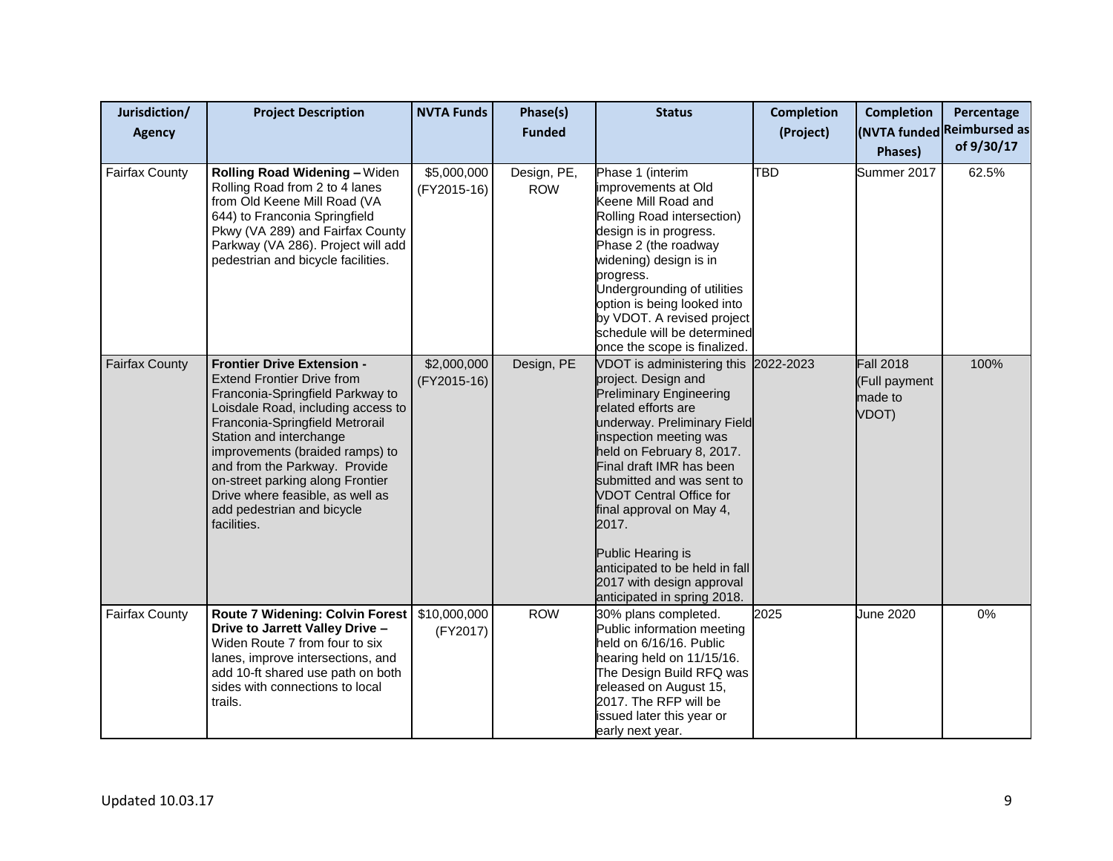| Jurisdiction/<br>Agency | <b>Project Description</b>                                                                                                                                                                                                                                                                                                                                                                              | <b>NVTA Funds</b>          | Phase(s)<br><b>Funded</b> | <b>Status</b>                                                                                                                                                                                                                                                                                                                                                                                                                                                 | <b>Completion</b><br>(Project) | <b>Completion</b><br>Phases)                          | Percentage<br>(NVTA funded Reimbursed as<br>of 9/30/17 |
|-------------------------|---------------------------------------------------------------------------------------------------------------------------------------------------------------------------------------------------------------------------------------------------------------------------------------------------------------------------------------------------------------------------------------------------------|----------------------------|---------------------------|---------------------------------------------------------------------------------------------------------------------------------------------------------------------------------------------------------------------------------------------------------------------------------------------------------------------------------------------------------------------------------------------------------------------------------------------------------------|--------------------------------|-------------------------------------------------------|--------------------------------------------------------|
| <b>Fairfax County</b>   | Rolling Road Widening - Widen<br>Rolling Road from 2 to 4 lanes<br>from Old Keene Mill Road (VA<br>644) to Franconia Springfield<br>Pkwy (VA 289) and Fairfax County<br>Parkway (VA 286). Project will add<br>pedestrian and bicycle facilities.                                                                                                                                                        | \$5,000,000<br>(FY2015-16) | Design, PE,<br><b>ROW</b> | Phase 1 (interim<br>improvements at Old<br>Keene Mill Road and<br>Rolling Road intersection)<br>design is in progress.<br>Phase 2 (the roadway<br>widening) design is in<br>progress.<br>Undergrounding of utilities<br>option is being looked into<br>by VDOT. A revised project<br>schedule will be determined<br>once the scope is finalized.                                                                                                              | TBD                            | Summer 2017                                           | 62.5%                                                  |
| <b>Fairfax County</b>   | <b>Frontier Drive Extension -</b><br><b>Extend Frontier Drive from</b><br>Franconia-Springfield Parkway to<br>Loisdale Road, including access to<br>Franconia-Springfield Metrorail<br>Station and interchange<br>improvements (braided ramps) to<br>and from the Parkway. Provide<br>on-street parking along Frontier<br>Drive where feasible, as well as<br>add pedestrian and bicycle<br>facilities. | \$2,000,000<br>(FY2015-16) | Design, PE                | VDOT is administering this 2022-2023<br>project. Design and<br><b>Preliminary Engineering</b><br>related efforts are<br>underway. Preliminary Field<br>inspection meeting was<br>held on February 8, 2017.<br>Final draft IMR has been<br>submitted and was sent to<br><b>VDOT Central Office for</b><br>final approval on May 4,<br>2017.<br>Public Hearing is<br>anticipated to be held in fall<br>2017 with design approval<br>anticipated in spring 2018. |                                | <b>Fall 2018</b><br>(Full payment<br>made to<br>VDOT) | 100%                                                   |
| <b>Fairfax County</b>   | <b>Route 7 Widening: Colvin Forest</b><br>Drive to Jarrett Valley Drive -<br>Widen Route 7 from four to six<br>lanes, improve intersections, and<br>add 10-ft shared use path on both<br>sides with connections to local<br>trails.                                                                                                                                                                     | \$10,000,000<br>(FY2017)   | <b>ROW</b>                | 30% plans completed.<br>Public information meeting<br>held on 6/16/16. Public<br>hearing held on 11/15/16.<br>The Design Build RFQ was<br>released on August 15,<br>2017. The RFP will be<br>issued later this year or<br>early next year.                                                                                                                                                                                                                    | 2025                           | June 2020                                             | 0%                                                     |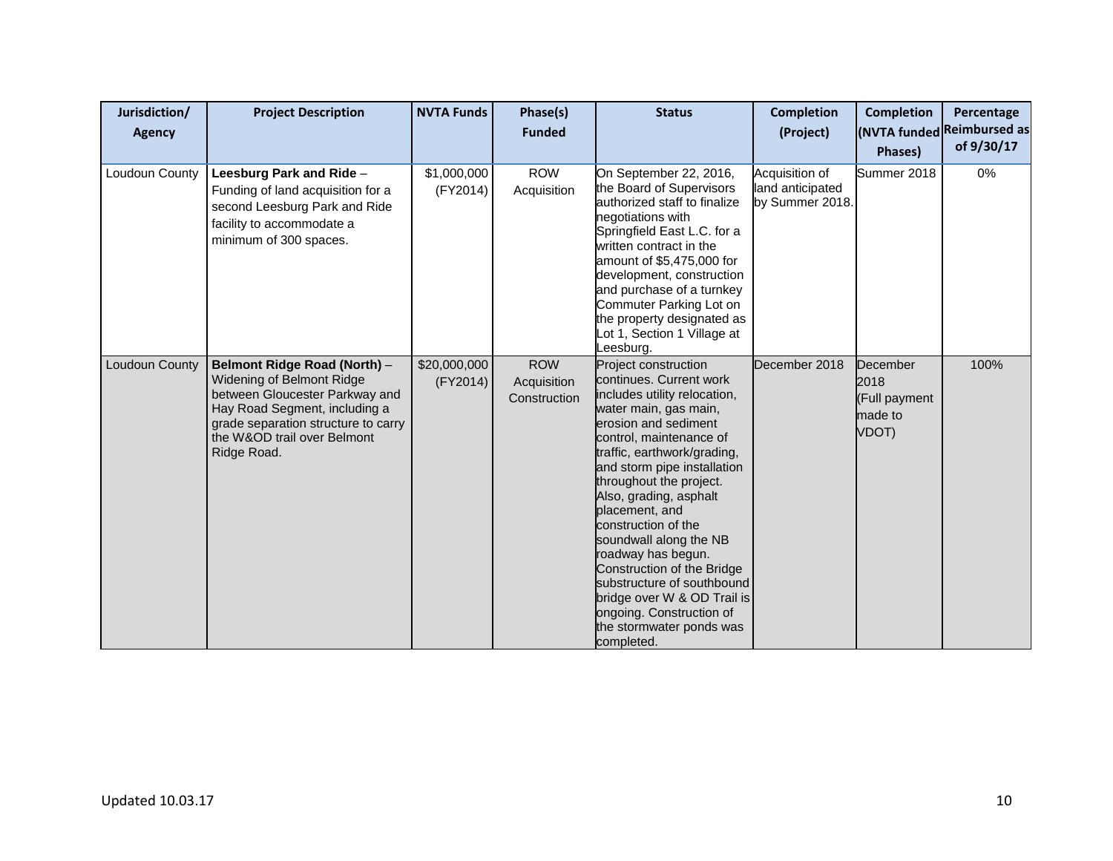| Jurisdiction/<br>Agency | <b>Project Description</b>                                                                                                                                                                                        | <b>NVTA Funds</b>        | Phase(s)<br><b>Funded</b>                 | <b>Status</b>                                                                                                                                                                                                                                                                                                                                                                                                                                                                                                                            | <b>Completion</b><br>(Project)                        | <b>Completion</b><br>Phases)                          | Percentage<br>(NVTA funded Reimbursed as<br>of 9/30/17 |
|-------------------------|-------------------------------------------------------------------------------------------------------------------------------------------------------------------------------------------------------------------|--------------------------|-------------------------------------------|------------------------------------------------------------------------------------------------------------------------------------------------------------------------------------------------------------------------------------------------------------------------------------------------------------------------------------------------------------------------------------------------------------------------------------------------------------------------------------------------------------------------------------------|-------------------------------------------------------|-------------------------------------------------------|--------------------------------------------------------|
| Loudoun County          | Leesburg Park and Ride -<br>Funding of land acquisition for a<br>second Leesburg Park and Ride<br>facility to accommodate a<br>minimum of 300 spaces.                                                             | \$1,000,000<br>(FY2014)  | <b>ROW</b><br>Acquisition                 | On September 22, 2016,<br>the Board of Supervisors<br>authorized staff to finalize<br>negotiations with<br>Springfield East L.C. for a<br>written contract in the<br>amount of \$5,475,000 for<br>development, construction<br>and purchase of a turnkey<br>Commuter Parking Lot on<br>the property designated as<br>Lot 1, Section 1 Village at<br>_eesburg.                                                                                                                                                                            | Acquisition of<br>land anticipated<br>by Summer 2018. | Summer 2018                                           | 0%                                                     |
| Loudoun County          | Belmont Ridge Road (North) -<br>Widening of Belmont Ridge<br>between Gloucester Parkway and<br>Hay Road Segment, including a<br>grade separation structure to carry<br>the W&OD trail over Belmont<br>Ridge Road. | \$20,000,000<br>(FY2014) | <b>ROW</b><br>Acquisition<br>Construction | Project construction<br>continues. Current work<br>includes utility relocation,<br>water main, gas main,<br>erosion and sediment<br>control, maintenance of<br>traffic, earthwork/grading,<br>and storm pipe installation<br>throughout the project.<br>Also, grading, asphalt<br>placement, and<br>construction of the<br>soundwall along the NB<br>roadway has begun.<br>Construction of the Bridge<br>substructure of southbound<br>bridge over W & OD Trail is<br>ongoing. Construction of<br>the stormwater ponds was<br>completed. | December 2018                                         | December<br>2018<br>(Full payment<br>made to<br>VDOT) | 100%                                                   |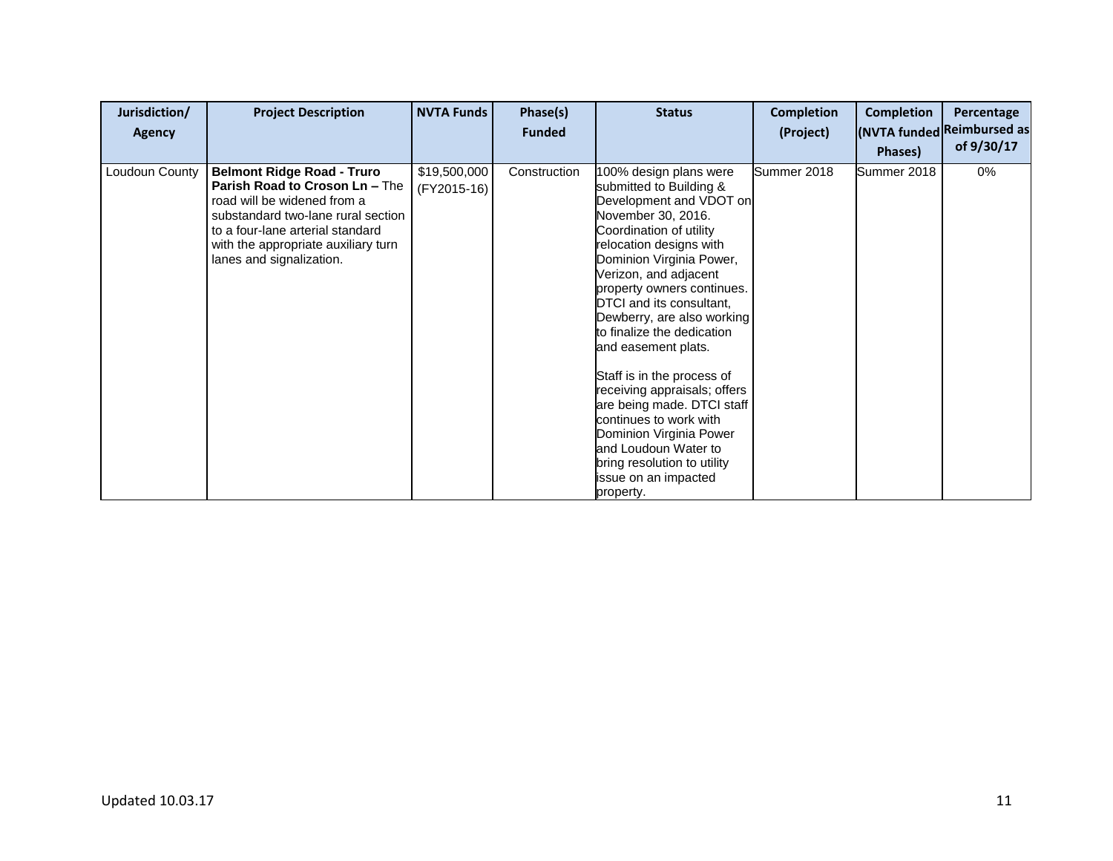| Jurisdiction/<br><b>Agency</b> | <b>Project Description</b>                                                                                                                                                                                                                      | <b>NVTA Funds</b>           | Phase(s)<br><b>Funded</b> | <b>Status</b>                                                                                                                                                                                                                                                                                                                                                                                                                                                                                                                                                                                           | <b>Completion</b><br>(Project) | <b>Completion</b><br>Phases) | Percentage<br>(NVTA funded Reimbursed as<br>of 9/30/17 |
|--------------------------------|-------------------------------------------------------------------------------------------------------------------------------------------------------------------------------------------------------------------------------------------------|-----------------------------|---------------------------|---------------------------------------------------------------------------------------------------------------------------------------------------------------------------------------------------------------------------------------------------------------------------------------------------------------------------------------------------------------------------------------------------------------------------------------------------------------------------------------------------------------------------------------------------------------------------------------------------------|--------------------------------|------------------------------|--------------------------------------------------------|
| Loudoun County                 | <b>Belmont Ridge Road - Truro</b><br>Parish Road to Croson Ln - The<br>road will be widened from a<br>substandard two-lane rural section<br>to a four-lane arterial standard<br>with the appropriate auxiliary turn<br>lanes and signalization. | \$19,500,000<br>(FY2015-16) | Construction              | 100% design plans were<br>submitted to Building &<br>Development and VDOT on<br>November 30, 2016.<br>Coordination of utility<br>relocation designs with<br>Dominion Virginia Power,<br>Verizon, and adjacent<br>property owners continues.<br>DTCI and its consultant,<br>Dewberry, are also working<br>to finalize the dedication<br>and easement plats.<br>Staff is in the process of<br>receiving appraisals; offers<br>are being made. DTCI staff<br>continues to work with<br>Dominion Virginia Power<br>and Loudoun Water to<br>bring resolution to utility<br>issue on an impacted<br>property. | Summer 2018                    | Summer 2018                  | 0%                                                     |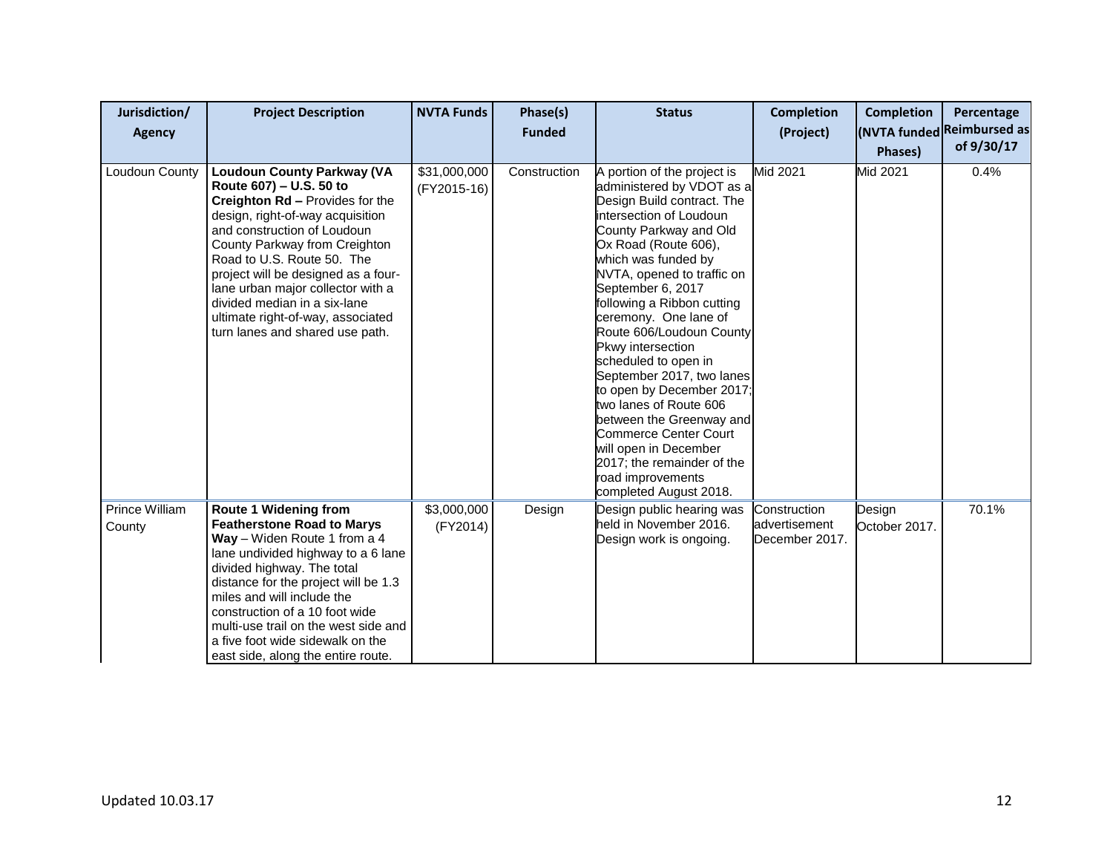| Jurisdiction/<br>Agency  | <b>Project Description</b>                                                                                                                                                                                                                                                                                                                                                                                            | <b>NVTA Funds</b>           | Phase(s)<br><b>Funded</b> | <b>Status</b>                                                                                                                                                                                                                                                                                                                                                                                                                                                                                                                                                                                                                       | <b>Completion</b><br>(Project)                  | <b>Completion</b><br>Phases) | Percentage<br>(NVTA funded Reimbursed as<br>of 9/30/17 |
|--------------------------|-----------------------------------------------------------------------------------------------------------------------------------------------------------------------------------------------------------------------------------------------------------------------------------------------------------------------------------------------------------------------------------------------------------------------|-----------------------------|---------------------------|-------------------------------------------------------------------------------------------------------------------------------------------------------------------------------------------------------------------------------------------------------------------------------------------------------------------------------------------------------------------------------------------------------------------------------------------------------------------------------------------------------------------------------------------------------------------------------------------------------------------------------------|-------------------------------------------------|------------------------------|--------------------------------------------------------|
| Loudoun County           | <b>Loudoun County Parkway (VA</b><br>Route 607) - U.S. 50 to<br>Creighton Rd - Provides for the<br>design, right-of-way acquisition<br>and construction of Loudoun<br>County Parkway from Creighton<br>Road to U.S. Route 50. The<br>project will be designed as a four-<br>lane urban major collector with a<br>divided median in a six-lane<br>ultimate right-of-way, associated<br>turn lanes and shared use path. | \$31,000,000<br>(FY2015-16) | Construction              | A portion of the project is<br>administered by VDOT as a<br>Design Build contract. The<br>intersection of Loudoun<br>County Parkway and Old<br>Ox Road (Route 606),<br>which was funded by<br>NVTA, opened to traffic on<br>September 6, 2017<br>following a Ribbon cutting<br>ceremony. One lane of<br>Route 606/Loudoun County<br>Pkwy intersection<br>scheduled to open in<br>September 2017, two lanes<br>to open by December 2017;<br>two lanes of Route 606<br>between the Greenway and<br><b>Commerce Center Court</b><br>will open in December<br>2017; the remainder of the<br>road improvements<br>completed August 2018. | Mid 2021                                        | Mid 2021                     | 0.4%                                                   |
| Prince William<br>County | <b>Route 1 Widening from</b><br><b>Featherstone Road to Marys</b><br>Way - Widen Route 1 from a 4<br>lane undivided highway to a 6 lane<br>divided highway. The total<br>distance for the project will be 1.3<br>miles and will include the<br>construction of a 10 foot wide<br>multi-use trail on the west side and<br>a five foot wide sidewalk on the<br>east side, along the entire route.                       | \$3,000,000<br>(FY2014)     | Design                    | Design public hearing was<br>held in November 2016.<br>Design work is ongoing.                                                                                                                                                                                                                                                                                                                                                                                                                                                                                                                                                      | Construction<br>advertisement<br>December 2017. | Design<br>October 2017.      | 70.1%                                                  |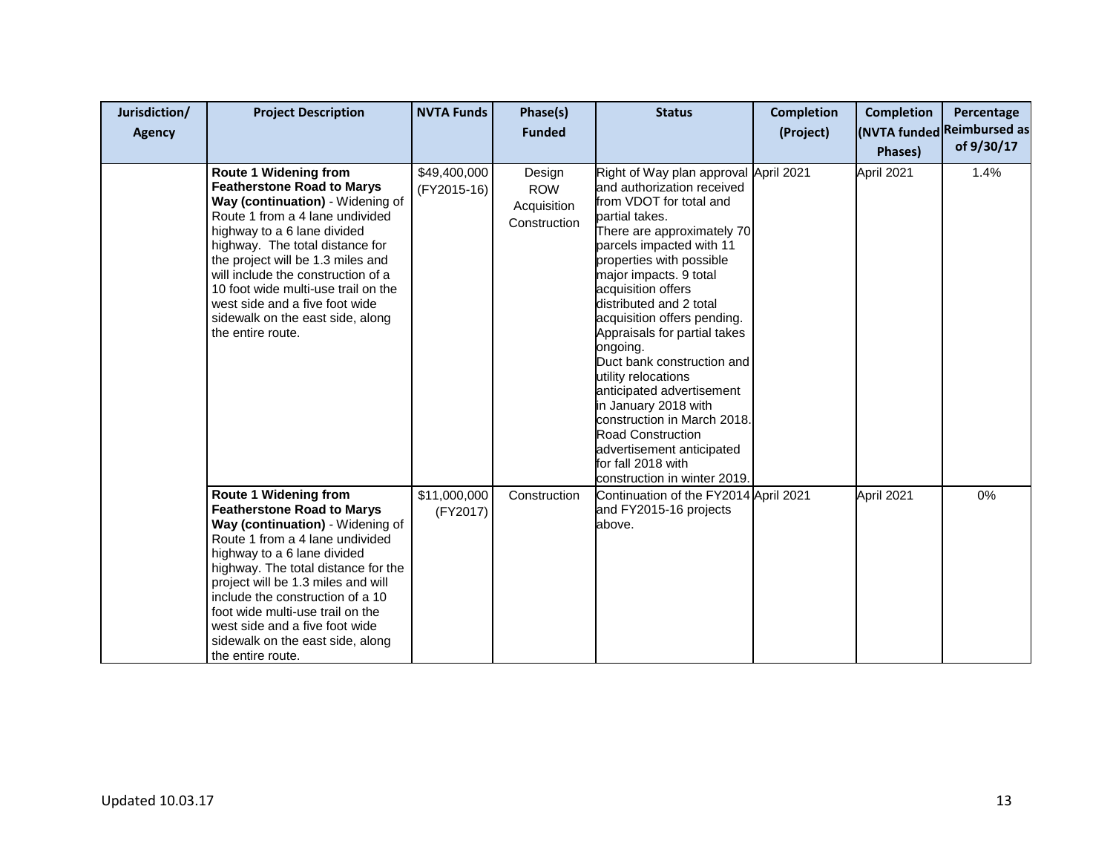| Jurisdiction/<br><b>Agency</b> | <b>Project Description</b>                                                                                                                                                                                                                                                                                                                                                                                              | <b>NVTA Funds</b>           | Phase(s)<br><b>Funded</b>                           | <b>Status</b>                                                                                                                                                                                                                                                                                                                                                                                                                                                                                                                                                                                                        | <b>Completion</b><br>(Project) | <b>Completion</b><br>Phases) | Percentage<br>(NVTA funded Reimbursed as<br>of 9/30/17 |
|--------------------------------|-------------------------------------------------------------------------------------------------------------------------------------------------------------------------------------------------------------------------------------------------------------------------------------------------------------------------------------------------------------------------------------------------------------------------|-----------------------------|-----------------------------------------------------|----------------------------------------------------------------------------------------------------------------------------------------------------------------------------------------------------------------------------------------------------------------------------------------------------------------------------------------------------------------------------------------------------------------------------------------------------------------------------------------------------------------------------------------------------------------------------------------------------------------------|--------------------------------|------------------------------|--------------------------------------------------------|
|                                | <b>Route 1 Widening from</b><br><b>Featherstone Road to Marys</b><br>Way (continuation) - Widening of<br>Route 1 from a 4 lane undivided<br>highway to a 6 lane divided<br>highway. The total distance for<br>the project will be 1.3 miles and<br>will include the construction of a<br>10 foot wide multi-use trail on the<br>west side and a five foot wide<br>sidewalk on the east side, along<br>the entire route. | \$49,400,000<br>(FY2015-16) | Design<br><b>ROW</b><br>Acquisition<br>Construction | Right of Way plan approval April 2021<br>and authorization received<br>from VDOT for total and<br>partial takes.<br>There are approximately 70<br>parcels impacted with 11<br>properties with possible<br>major impacts. 9 total<br>acquisition offers<br>distributed and 2 total<br>acquisition offers pending.<br>Appraisals for partial takes<br>ongoing.<br>Duct bank construction and<br>utility relocations<br>anticipated advertisement<br>in January 2018 with<br>construction in March 2018.<br><b>Road Construction</b><br>advertisement anticipated<br>for fall 2018 with<br>construction in winter 2019. |                                | April 2021                   | 1.4%                                                   |
|                                | <b>Route 1 Widening from</b><br><b>Featherstone Road to Marys</b><br>Way (continuation) - Widening of<br>Route 1 from a 4 lane undivided<br>highway to a 6 lane divided<br>highway. The total distance for the<br>project will be 1.3 miles and will<br>include the construction of a 10<br>foot wide multi-use trail on the<br>west side and a five foot wide<br>sidewalk on the east side, along<br>the entire route. | \$11,000,000<br>(FY2017)    | Construction                                        | Continuation of the FY2014 April 2021<br>and FY2015-16 projects<br>above.                                                                                                                                                                                                                                                                                                                                                                                                                                                                                                                                            |                                | April 2021                   | 0%                                                     |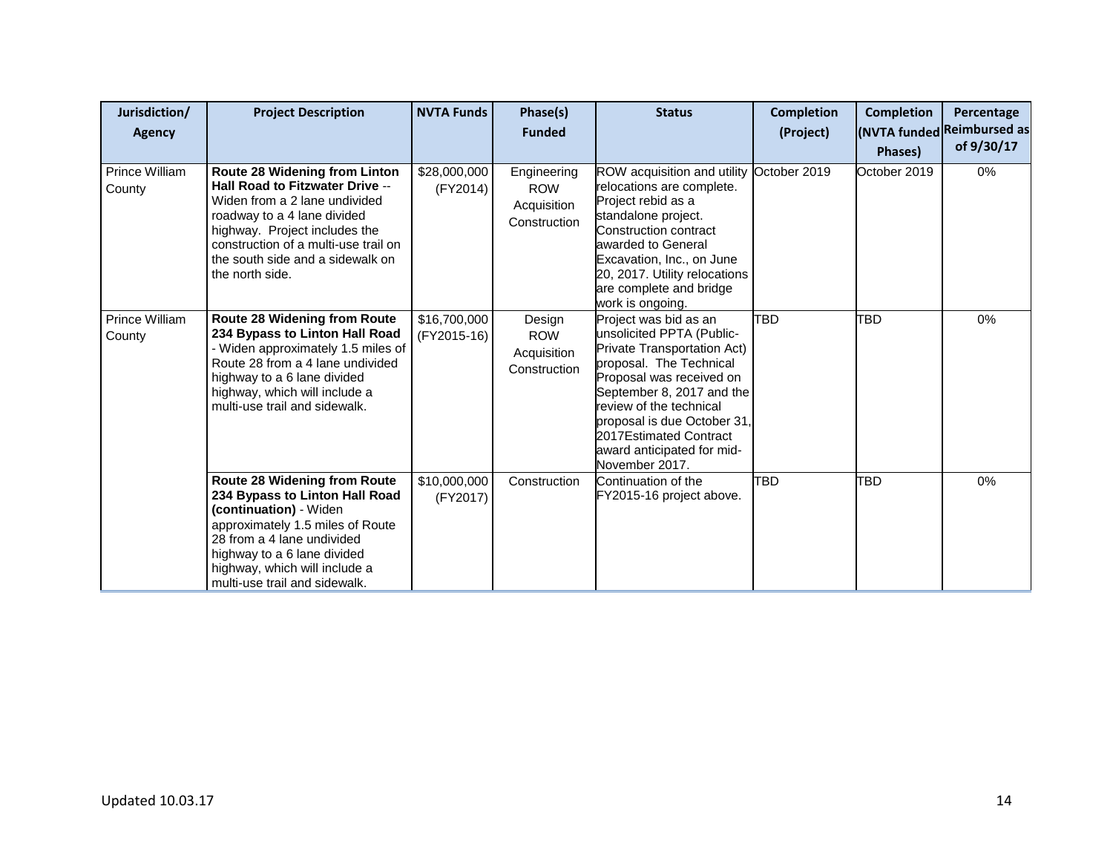| Jurisdiction/<br>Agency  | <b>Project Description</b>                                                                                                                                                                                                                                              | <b>NVTA Funds</b>           | Phase(s)<br><b>Funded</b>                                | <b>Status</b>                                                                                                                                                                                                                                                                                             | <b>Completion</b><br>(Project) | <b>Completion</b>       | Percentage<br>(NVTA funded Reimbursed as<br>of 9/30/17 |
|--------------------------|-------------------------------------------------------------------------------------------------------------------------------------------------------------------------------------------------------------------------------------------------------------------------|-----------------------------|----------------------------------------------------------|-----------------------------------------------------------------------------------------------------------------------------------------------------------------------------------------------------------------------------------------------------------------------------------------------------------|--------------------------------|-------------------------|--------------------------------------------------------|
| Prince William<br>County | Route 28 Widening from Linton<br><b>Hall Road to Fitzwater Drive --</b><br>Widen from a 2 lane undivided<br>roadway to a 4 lane divided<br>highway. Project includes the<br>construction of a multi-use trail on<br>the south side and a sidewalk on<br>the north side. | \$28,000,000<br>(FY2014)    | Engineering<br><b>ROW</b><br>Acquisition<br>Construction | ROW acquisition and utility<br>relocations are complete.<br>Project rebid as a<br>standalone project.<br>Construction contract<br>awarded to General<br>Excavation, Inc., on June<br>20, 2017. Utility relocations<br>are complete and bridge<br>work is ongoing.                                         | October 2019                   | Phases)<br>October 2019 | 0%                                                     |
| Prince William<br>County | Route 28 Widening from Route<br>234 Bypass to Linton Hall Road<br>- Widen approximately 1.5 miles of<br>Route 28 from a 4 lane undivided<br>highway to a 6 lane divided<br>highway, which will include a<br>multi-use trail and sidewalk.                               | \$16,700,000<br>(FY2015-16) | Design<br><b>ROW</b><br>Acquisition<br>Construction      | Project was bid as an<br>unsolicited PPTA (Public-<br>Private Transportation Act)<br>proposal. The Technical<br>Proposal was received on<br>September 8, 2017 and the<br>review of the technical<br>proposal is due October 31,<br>2017Estimated Contract<br>award anticipated for mid-<br>November 2017. | TBD                            | <b>TBD</b>              | 0%                                                     |
|                          | Route 28 Widening from Route<br>234 Bypass to Linton Hall Road<br>(continuation) - Widen<br>approximately 1.5 miles of Route<br>28 from a 4 lane undivided<br>highway to a 6 lane divided<br>highway, which will include a<br>multi-use trail and sidewalk.             | \$10,000,000<br>(FY2017)    | Construction                                             | Continuation of the<br>FY2015-16 project above.                                                                                                                                                                                                                                                           | TBD                            | <b>TBD</b>              | 0%                                                     |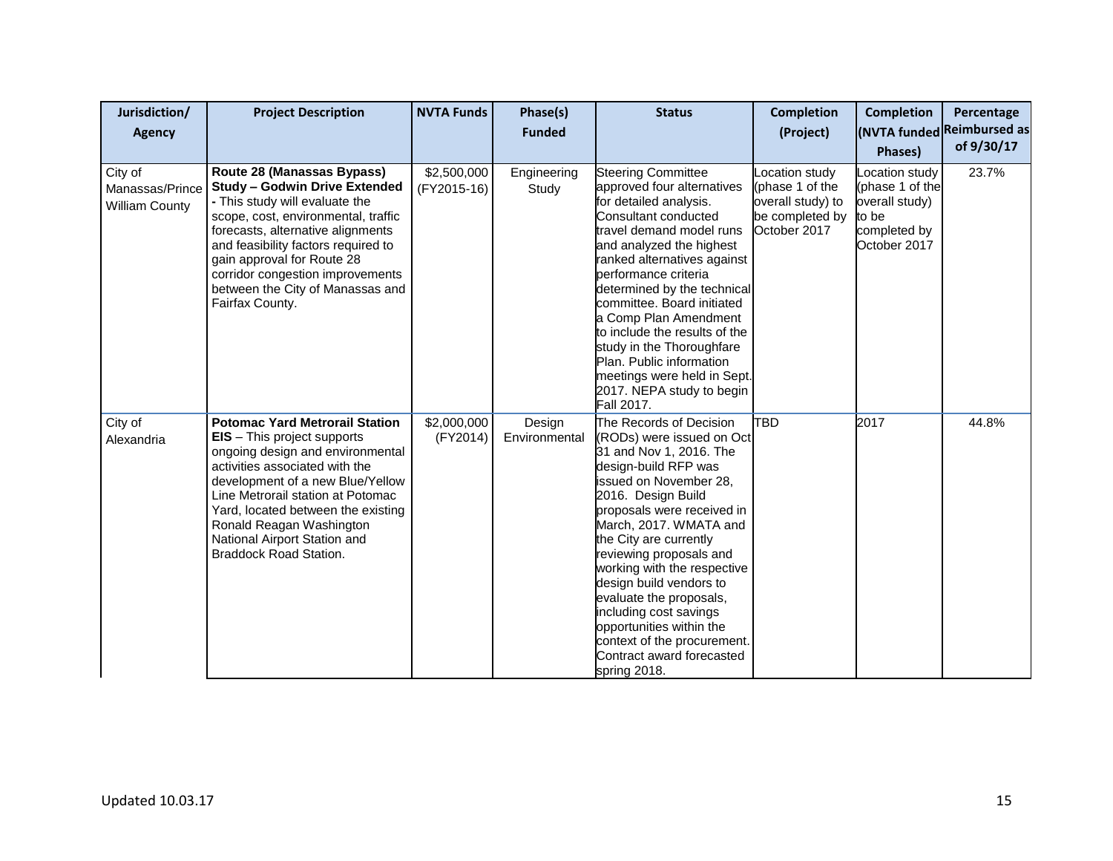| Jurisdiction/<br><b>Agency</b>                      | <b>Project Description</b>                                                                                                                                                                                                                                                                                                                                    | <b>NVTA Funds</b>          | Phase(s)<br><b>Funded</b> | <b>Status</b>                                                                                                                                                                                                                                                                                                                                                                                                                                                                               | <b>Completion</b><br>(Project)                                                           | <b>Completion</b><br>Phases)                                                                 | Percentage<br>(NVTA funded Reimbursed as<br>of 9/30/17 |
|-----------------------------------------------------|---------------------------------------------------------------------------------------------------------------------------------------------------------------------------------------------------------------------------------------------------------------------------------------------------------------------------------------------------------------|----------------------------|---------------------------|---------------------------------------------------------------------------------------------------------------------------------------------------------------------------------------------------------------------------------------------------------------------------------------------------------------------------------------------------------------------------------------------------------------------------------------------------------------------------------------------|------------------------------------------------------------------------------------------|----------------------------------------------------------------------------------------------|--------------------------------------------------------|
| City of<br>Manassas/Prince<br><b>William County</b> | Route 28 (Manassas Bypass)<br><b>Study - Godwin Drive Extended</b><br>- This study will evaluate the<br>scope, cost, environmental, traffic<br>forecasts, alternative alignments<br>and feasibility factors required to<br>gain approval for Route 28<br>corridor congestion improvements<br>between the City of Manassas and<br>Fairfax County.              | \$2,500,000<br>(FY2015-16) | Engineering<br>Study      | <b>Steering Committee</b><br>approved four alternatives<br>for detailed analysis.<br>Consultant conducted<br>travel demand model runs<br>and analyzed the highest<br>ranked alternatives against<br>performance criteria<br>determined by the technical<br>committee. Board initiated<br>a Comp Plan Amendment<br>to include the results of the<br>study in the Thoroughfare<br>Plan. Public information<br>meetings were held in Sept.<br>2017. NEPA study to begin<br>Fall 2017.          | ocation study<br>(phase 1 of the<br>overall study) to<br>be completed by<br>October 2017 | Location study<br>(phase 1 of the<br>overall study)<br>to be<br>completed by<br>October 2017 | 23.7%                                                  |
| City of<br>Alexandria                               | <b>Potomac Yard Metrorail Station</b><br><b>EIS</b> – This project supports<br>ongoing design and environmental<br>activities associated with the<br>development of a new Blue/Yellow<br>Line Metrorail station at Potomac<br>Yard, located between the existing<br>Ronald Reagan Washington<br>National Airport Station and<br><b>Braddock Road Station.</b> | \$2,000,000<br>(FY2014)    | Design<br>Environmental   | The Records of Decision<br>(RODs) were issued on Oct<br>31 and Nov 1, 2016. The<br>design-build RFP was<br>issued on November 28,<br>2016. Design Build<br>proposals were received in<br>March, 2017. WMATA and<br>the City are currently<br>reviewing proposals and<br>working with the respective<br>design build vendors to<br>evaluate the proposals,<br>including cost savings<br>opportunities within the<br>context of the procurement.<br>Contract award forecasted<br>spring 2018. | <b>TBD</b>                                                                               | 2017                                                                                         | 44.8%                                                  |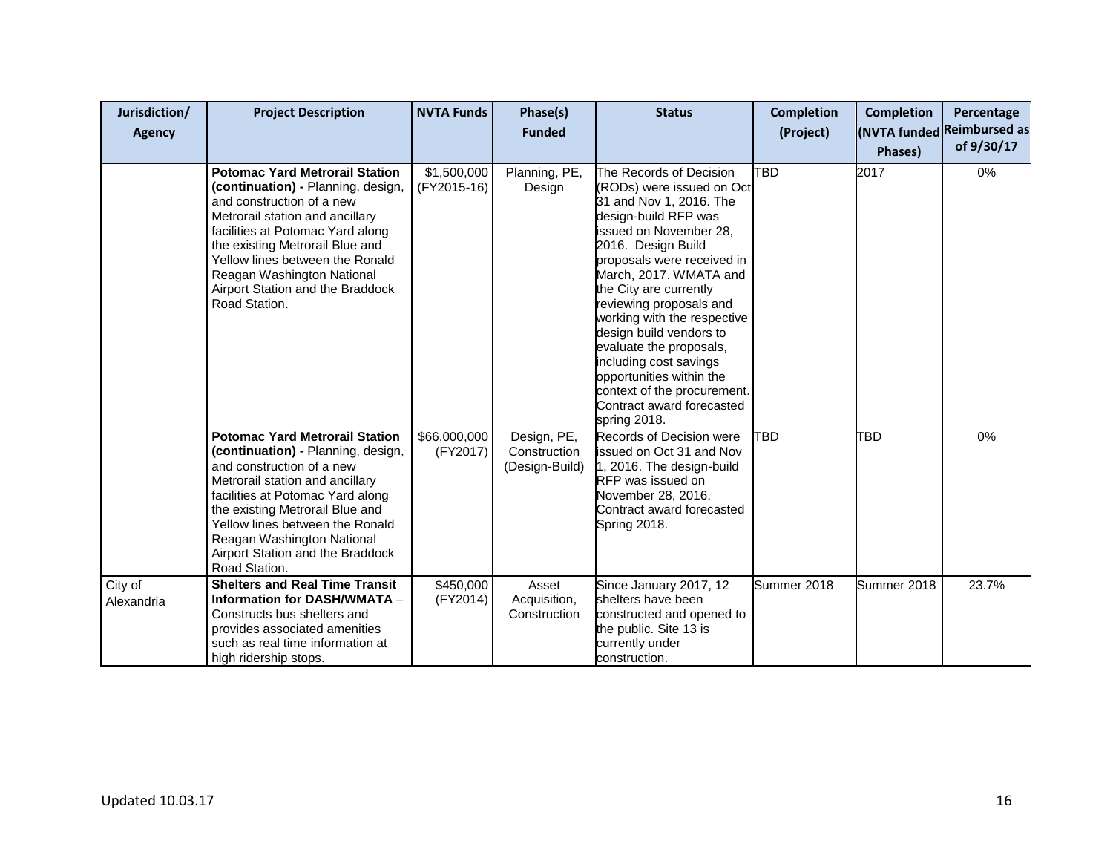| Jurisdiction/<br>Agency | <b>Project Description</b>                                                                                                                                                                                                                                                                                                               | <b>NVTA Funds</b>          | Phase(s)<br><b>Funded</b>                     | <b>Status</b>                                                                                                                                                                                                                                                                                                                                                                                                                                                                               | <b>Completion</b><br>(Project) | <b>Completion</b><br><b>Phases</b> ) | Percentage<br>(NVTA funded Reimbursed as<br>of 9/30/17 |
|-------------------------|------------------------------------------------------------------------------------------------------------------------------------------------------------------------------------------------------------------------------------------------------------------------------------------------------------------------------------------|----------------------------|-----------------------------------------------|---------------------------------------------------------------------------------------------------------------------------------------------------------------------------------------------------------------------------------------------------------------------------------------------------------------------------------------------------------------------------------------------------------------------------------------------------------------------------------------------|--------------------------------|--------------------------------------|--------------------------------------------------------|
|                         | <b>Potomac Yard Metrorail Station</b><br>(continuation) - Planning, design,<br>and construction of a new<br>Metrorail station and ancillary<br>facilities at Potomac Yard along<br>the existing Metrorail Blue and<br>Yellow lines between the Ronald<br>Reagan Washington National<br>Airport Station and the Braddock<br>Road Station. | \$1,500,000<br>(FY2015-16) | Planning, PE,<br>Design                       | The Records of Decision<br>(RODs) were issued on Oct<br>31 and Nov 1, 2016. The<br>design-build RFP was<br>issued on November 28,<br>2016. Design Build<br>proposals were received in<br>March, 2017. WMATA and<br>the City are currently<br>reviewing proposals and<br>working with the respective<br>design build vendors to<br>evaluate the proposals,<br>including cost savings<br>opportunities within the<br>context of the procurement.<br>Contract award forecasted<br>spring 2018. | <b>TBD</b>                     | 2017                                 | 0%                                                     |
|                         | <b>Potomac Yard Metrorail Station</b><br>(continuation) - Planning, design,<br>and construction of a new<br>Metrorail station and ancillary<br>facilities at Potomac Yard along<br>the existing Metrorail Blue and<br>Yellow lines between the Ronald<br>Reagan Washington National<br>Airport Station and the Braddock<br>Road Station. | \$66,000,000<br>(FY2017)   | Design, PE,<br>Construction<br>(Design-Build) | Records of Decision were<br>issued on Oct 31 and Nov<br>1, 2016. The design-build<br>RFP was issued on<br>November 28, 2016.<br>Contract award forecasted<br>Spring 2018.                                                                                                                                                                                                                                                                                                                   | <b>TBD</b>                     | TBD                                  | 0%                                                     |
| City of<br>Alexandria   | <b>Shelters and Real Time Transit</b><br><b>Information for DASH/WMATA -</b><br>Constructs bus shelters and<br>provides associated amenities<br>such as real time information at<br>high ridership stops.                                                                                                                                | \$450,000<br>(FY2014)      | Asset<br>Acquisition,<br>Construction         | Since January 2017, 12<br>shelters have been<br>constructed and opened to<br>the public. Site 13 is<br>currently under<br>construction.                                                                                                                                                                                                                                                                                                                                                     | Summer 2018                    | Summer 2018                          | 23.7%                                                  |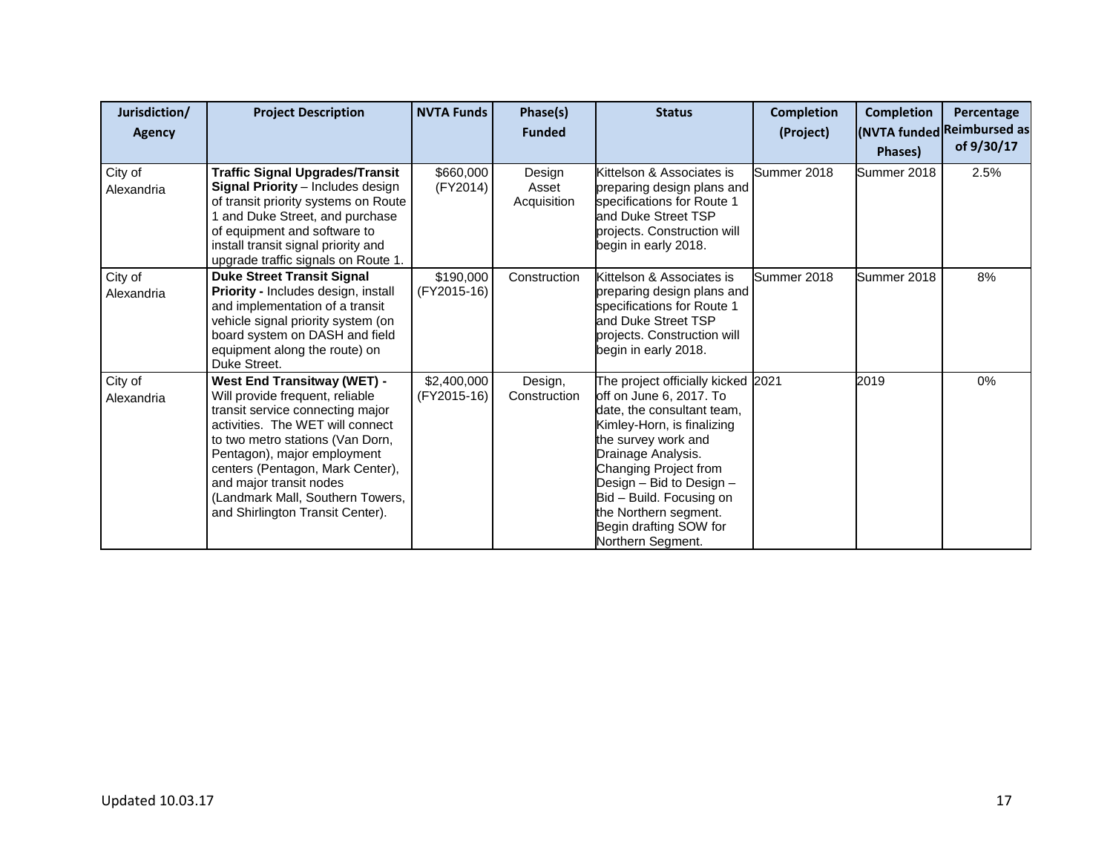| Jurisdiction/         | <b>Project Description</b>                                                                                                                                                                                                                                                                                                                              | <b>NVTA Funds</b>          | Phase(s)                       | <b>Status</b>                                                                                                                                                                                                                                                                                                                   | <b>Completion</b> | <b>Completion</b> | Percentage                               |
|-----------------------|---------------------------------------------------------------------------------------------------------------------------------------------------------------------------------------------------------------------------------------------------------------------------------------------------------------------------------------------------------|----------------------------|--------------------------------|---------------------------------------------------------------------------------------------------------------------------------------------------------------------------------------------------------------------------------------------------------------------------------------------------------------------------------|-------------------|-------------------|------------------------------------------|
| Agency                |                                                                                                                                                                                                                                                                                                                                                         |                            | <b>Funded</b>                  |                                                                                                                                                                                                                                                                                                                                 | (Project)         | Phases)           | (NVTA funded Reimbursed as<br>of 9/30/17 |
| City of<br>Alexandria | <b>Traffic Signal Upgrades/Transit</b><br><b>Signal Priority</b> - Includes design<br>of transit priority systems on Route<br>1 and Duke Street, and purchase<br>of equipment and software to<br>install transit signal priority and<br>upgrade traffic signals on Route 1.                                                                             | \$660,000<br>(FY2014)      | Design<br>Asset<br>Acquisition | Kittelson & Associates is<br>preparing design plans and<br>specifications for Route 1<br>and Duke Street TSP<br>projects. Construction will<br>begin in early 2018.                                                                                                                                                             | Summer 2018       | Summer 2018       | 2.5%                                     |
| City of<br>Alexandria | <b>Duke Street Transit Signal</b><br>Priority - Includes design, install<br>and implementation of a transit<br>vehicle signal priority system (on<br>board system on DASH and field<br>equipment along the route) on<br>Duke Street.                                                                                                                    | \$190,000<br>(FY2015-16)   | Construction                   | Kittelson & Associates is<br>preparing design plans and<br>specifications for Route 1<br>and Duke Street TSP<br>projects. Construction will<br>begin in early 2018.                                                                                                                                                             | Summer 2018       | Summer 2018       | 8%                                       |
| City of<br>Alexandria | <b>West End Transitway (WET) -</b><br>Will provide frequent, reliable<br>transit service connecting major<br>activities. The WET will connect<br>to two metro stations (Van Dorn,<br>Pentagon), major employment<br>centers (Pentagon, Mark Center),<br>and major transit nodes<br>(Landmark Mall, Southern Towers,<br>and Shirlington Transit Center). | \$2,400,000<br>(FY2015-16) | Design,<br>Construction        | The project officially kicked 2021<br>off on June 6, 2017. To<br>date, the consultant team,<br>Kimley-Horn, is finalizing<br>the survey work and<br>Drainage Analysis.<br>Changing Project from<br>Design - Bid to Design -<br>Bid - Build. Focusing on<br>the Northern segment.<br>Begin drafting SOW for<br>Northern Segment. |                   | 2019              | 0%                                       |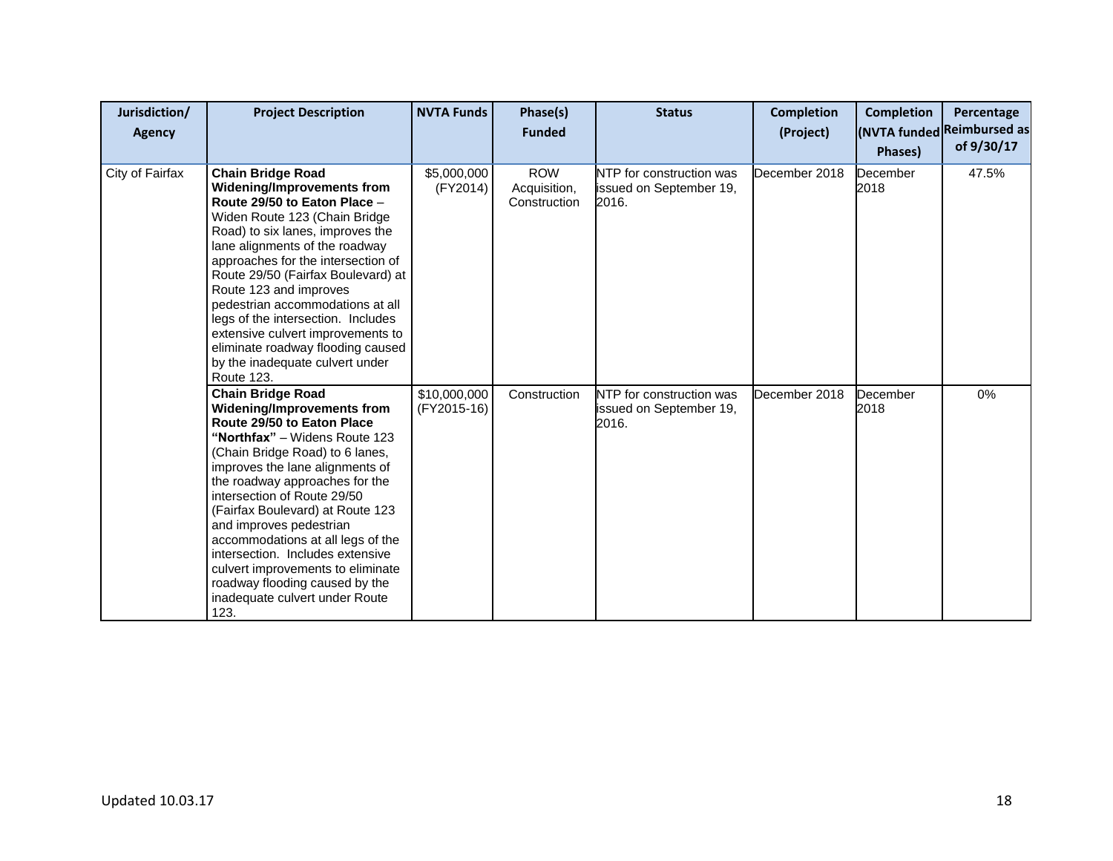| Jurisdiction/<br><b>Agency</b> | <b>Project Description</b>                                                                                                                                                                                                                                                                                                                                                                                                                                                                                            | <b>NVTA Funds</b>           | Phase(s)<br><b>Funded</b>                  | <b>Status</b>                                                | <b>Completion</b><br>(Project) | <b>Completion</b><br>Phases) | Percentage<br>(NVTA funded Reimbursed as<br>of 9/30/17 |
|--------------------------------|-----------------------------------------------------------------------------------------------------------------------------------------------------------------------------------------------------------------------------------------------------------------------------------------------------------------------------------------------------------------------------------------------------------------------------------------------------------------------------------------------------------------------|-----------------------------|--------------------------------------------|--------------------------------------------------------------|--------------------------------|------------------------------|--------------------------------------------------------|
| City of Fairfax                | <b>Chain Bridge Road</b><br>Widening/Improvements from<br>Route 29/50 to Eaton Place -<br>Widen Route 123 (Chain Bridge<br>Road) to six lanes, improves the<br>lane alignments of the roadway<br>approaches for the intersection of<br>Route 29/50 (Fairfax Boulevard) at<br>Route 123 and improves<br>pedestrian accommodations at all<br>legs of the intersection. Includes<br>extensive culvert improvements to<br>eliminate roadway flooding caused<br>by the inadequate culvert under<br><b>Route 123.</b>       | \$5,000,000<br>(FY2014)     | <b>ROW</b><br>Acquisition,<br>Construction | NTP for construction was<br>issued on September 19,<br>2016. | December 2018                  | December<br>2018             | 47.5%                                                  |
|                                | <b>Chain Bridge Road</b><br>Widening/Improvements from<br>Route 29/50 to Eaton Place<br>"Northfax" - Widens Route 123<br>(Chain Bridge Road) to 6 lanes,<br>improves the lane alignments of<br>the roadway approaches for the<br>intersection of Route 29/50<br>(Fairfax Boulevard) at Route 123<br>and improves pedestrian<br>accommodations at all legs of the<br>intersection. Includes extensive<br>culvert improvements to eliminate<br>roadway flooding caused by the<br>inadequate culvert under Route<br>123. | \$10,000,000<br>(FY2015-16) | Construction                               | NTP for construction was<br>issued on September 19,<br>2016. | December 2018                  | December<br>2018             | $0\%$                                                  |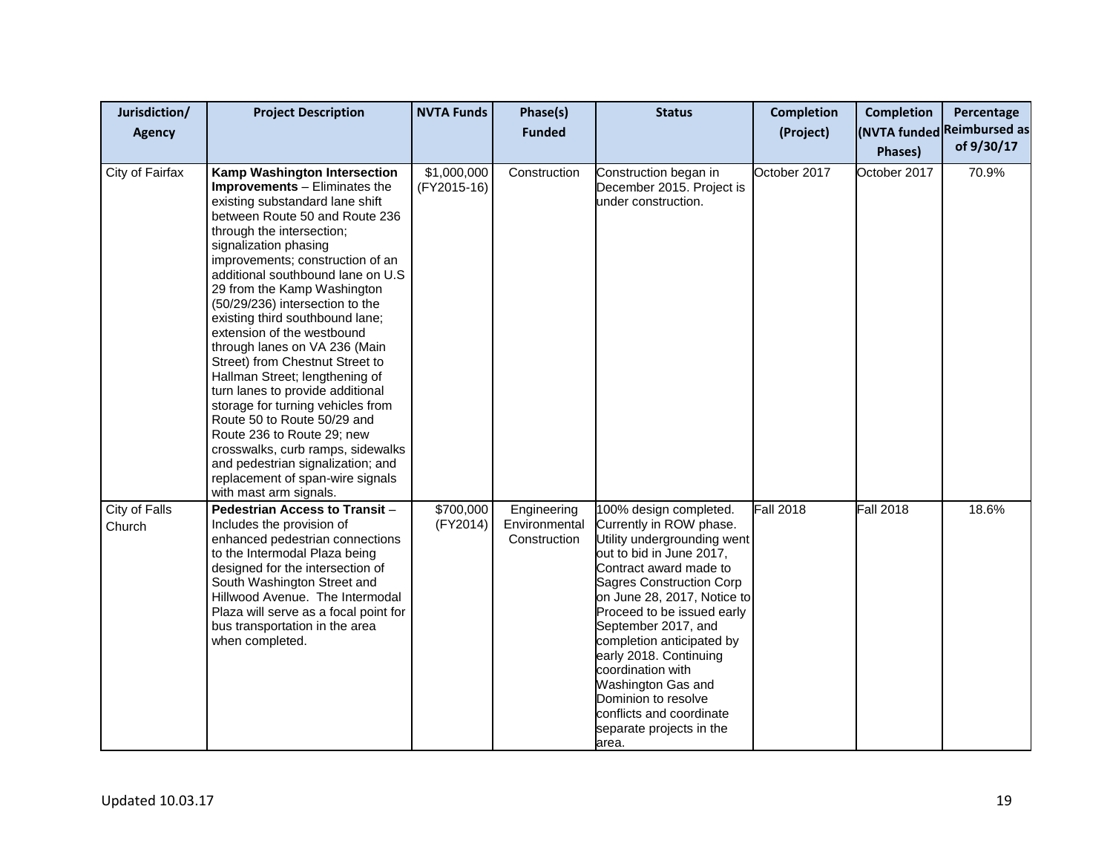| Jurisdiction/<br><b>Agency</b> | <b>Project Description</b>                                                                                                                                                                                                                                                                                                                                                                                                                                                                                                                                                                                                                                                                                                                                                               | <b>NVTA Funds</b>          | Phase(s)<br><b>Funded</b>                    | <b>Status</b>                                                                                                                                                                                                                                                                                                                                                                                                                                           | <b>Completion</b><br>(Project) | <b>Completion</b><br>Phases) | Percentage<br>(NVTA funded Reimbursed as<br>of 9/30/17 |
|--------------------------------|------------------------------------------------------------------------------------------------------------------------------------------------------------------------------------------------------------------------------------------------------------------------------------------------------------------------------------------------------------------------------------------------------------------------------------------------------------------------------------------------------------------------------------------------------------------------------------------------------------------------------------------------------------------------------------------------------------------------------------------------------------------------------------------|----------------------------|----------------------------------------------|---------------------------------------------------------------------------------------------------------------------------------------------------------------------------------------------------------------------------------------------------------------------------------------------------------------------------------------------------------------------------------------------------------------------------------------------------------|--------------------------------|------------------------------|--------------------------------------------------------|
| City of Fairfax                | Kamp Washington Intersection<br>Improvements - Eliminates the<br>existing substandard lane shift<br>between Route 50 and Route 236<br>through the intersection;<br>signalization phasing<br>improvements; construction of an<br>additional southbound lane on U.S<br>29 from the Kamp Washington<br>(50/29/236) intersection to the<br>existing third southbound lane;<br>extension of the westbound<br>through lanes on VA 236 (Main<br>Street) from Chestnut Street to<br>Hallman Street; lengthening of<br>turn lanes to provide additional<br>storage for turning vehicles from<br>Route 50 to Route 50/29 and<br>Route 236 to Route 29; new<br>crosswalks, curb ramps, sidewalks<br>and pedestrian signalization; and<br>replacement of span-wire signals<br>with mast arm signals. | \$1,000,000<br>(FY2015-16) | Construction                                 | Construction began in<br>December 2015. Project is<br>under construction.                                                                                                                                                                                                                                                                                                                                                                               | October 2017                   | October 2017                 | 70.9%                                                  |
| City of Falls<br>Church        | Pedestrian Access to Transit -<br>Includes the provision of<br>enhanced pedestrian connections<br>to the Intermodal Plaza being<br>designed for the intersection of<br>South Washington Street and<br>Hillwood Avenue. The Intermodal<br>Plaza will serve as a focal point for<br>bus transportation in the area<br>when completed.                                                                                                                                                                                                                                                                                                                                                                                                                                                      | \$700,000<br>(FY2014)      | Engineering<br>Environmental<br>Construction | 100% design completed.<br>Currently in ROW phase.<br>Utility undergrounding went<br>out to bid in June 2017,<br>Contract award made to<br><b>Sagres Construction Corp</b><br>on June 28, 2017, Notice to<br>Proceed to be issued early<br>September 2017, and<br>completion anticipated by<br>early 2018. Continuing<br>coordination with<br>Washington Gas and<br>Dominion to resolve<br>conflicts and coordinate<br>separate projects in the<br>area. | <b>Fall 2018</b>               | <b>Fall 2018</b>             | 18.6%                                                  |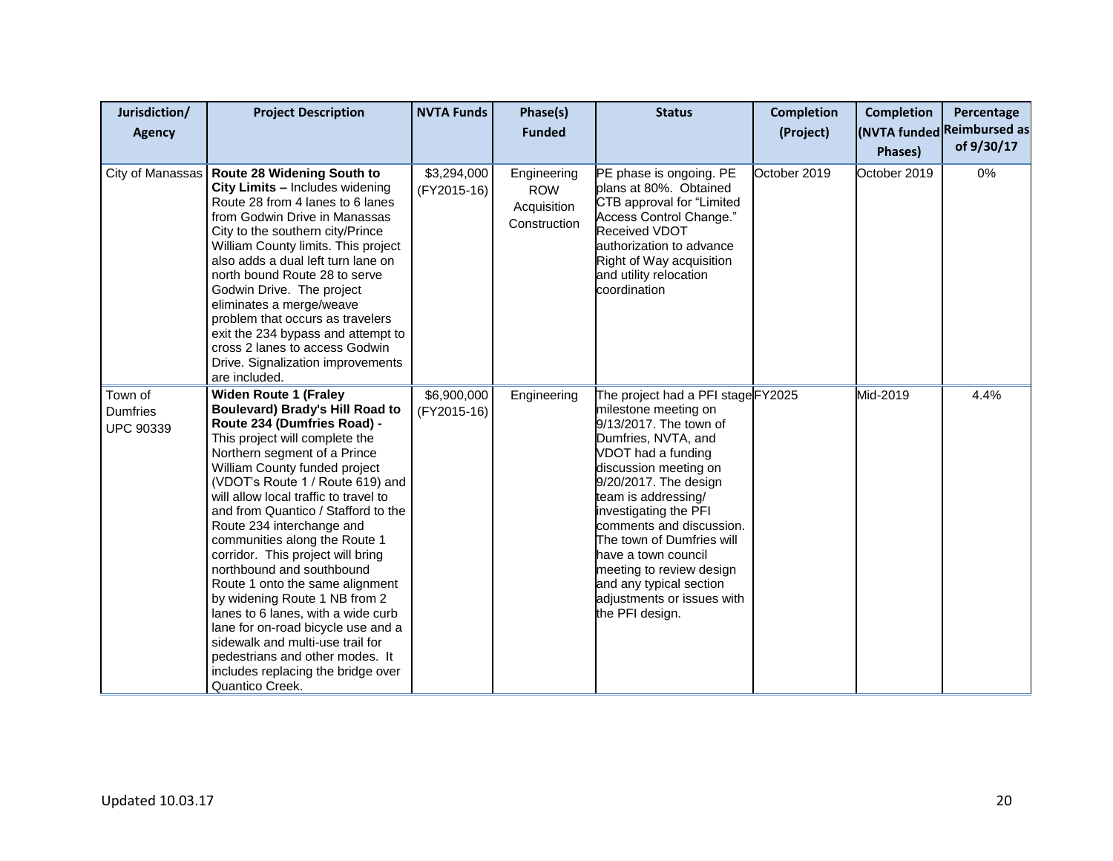| Jurisdiction/<br><b>Agency</b>                 | <b>Project Description</b>                                                                                                                                                                                                                                                                                                                                                                                                                                                                                                                                                                                                                                                                                                                   | <b>NVTA Funds</b>          | Phase(s)<br><b>Funded</b>                                | <b>Status</b>                                                                                                                                                                                                                                                                                                                                                                                                              | <b>Completion</b><br>(Project) | <b>Completion</b><br>Phases) | Percentage<br>(NVTA funded Reimbursed as<br>of 9/30/17 |
|------------------------------------------------|----------------------------------------------------------------------------------------------------------------------------------------------------------------------------------------------------------------------------------------------------------------------------------------------------------------------------------------------------------------------------------------------------------------------------------------------------------------------------------------------------------------------------------------------------------------------------------------------------------------------------------------------------------------------------------------------------------------------------------------------|----------------------------|----------------------------------------------------------|----------------------------------------------------------------------------------------------------------------------------------------------------------------------------------------------------------------------------------------------------------------------------------------------------------------------------------------------------------------------------------------------------------------------------|--------------------------------|------------------------------|--------------------------------------------------------|
| City of Manassas                               | <b>Route 28 Widening South to</b><br>City Limits - Includes widening<br>Route 28 from 4 lanes to 6 lanes<br>from Godwin Drive in Manassas<br>City to the southern city/Prince<br>William County limits. This project<br>also adds a dual left turn lane on<br>north bound Route 28 to serve<br>Godwin Drive. The project<br>eliminates a merge/weave<br>problem that occurs as travelers<br>exit the 234 bypass and attempt to<br>cross 2 lanes to access Godwin<br>Drive. Signalization improvements<br>are included.                                                                                                                                                                                                                       | \$3,294,000<br>(FY2015-16) | Engineering<br><b>ROW</b><br>Acquisition<br>Construction | PE phase is ongoing. PE<br>plans at 80%. Obtained<br>CTB approval for "Limited<br>Access Control Change."<br><b>Received VDOT</b><br>authorization to advance<br>Right of Way acquisition<br>and utility relocation<br>coordination                                                                                                                                                                                        | October 2019                   | October 2019                 | 0%                                                     |
| Town of<br><b>Dumfries</b><br><b>UPC 90339</b> | <b>Widen Route 1 (Fraley</b><br><b>Boulevard) Brady's Hill Road to</b><br>Route 234 (Dumfries Road) -<br>This project will complete the<br>Northern segment of a Prince<br>William County funded project<br>(VDOT's Route 1 / Route 619) and<br>will allow local traffic to travel to<br>and from Quantico / Stafford to the<br>Route 234 interchange and<br>communities along the Route 1<br>corridor. This project will bring<br>northbound and southbound<br>Route 1 onto the same alignment<br>by widening Route 1 NB from 2<br>lanes to 6 lanes, with a wide curb<br>lane for on-road bicycle use and a<br>sidewalk and multi-use trail for<br>pedestrians and other modes. It<br>includes replacing the bridge over<br>Quantico Creek. | \$6,900,000<br>(FY2015-16) | Engineering                                              | The project had a PFI stageFY2025<br>milestone meeting on<br>9/13/2017. The town of<br>Dumfries, NVTA, and<br>VDOT had a funding<br>discussion meeting on<br>9/20/2017. The design<br>team is addressing/<br>investigating the PFI<br>comments and discussion.<br>The town of Dumfries will<br>have a town council<br>meeting to review design<br>and any typical section<br>adjustments or issues with<br>the PFI design. |                                | Mid-2019                     | 4.4%                                                   |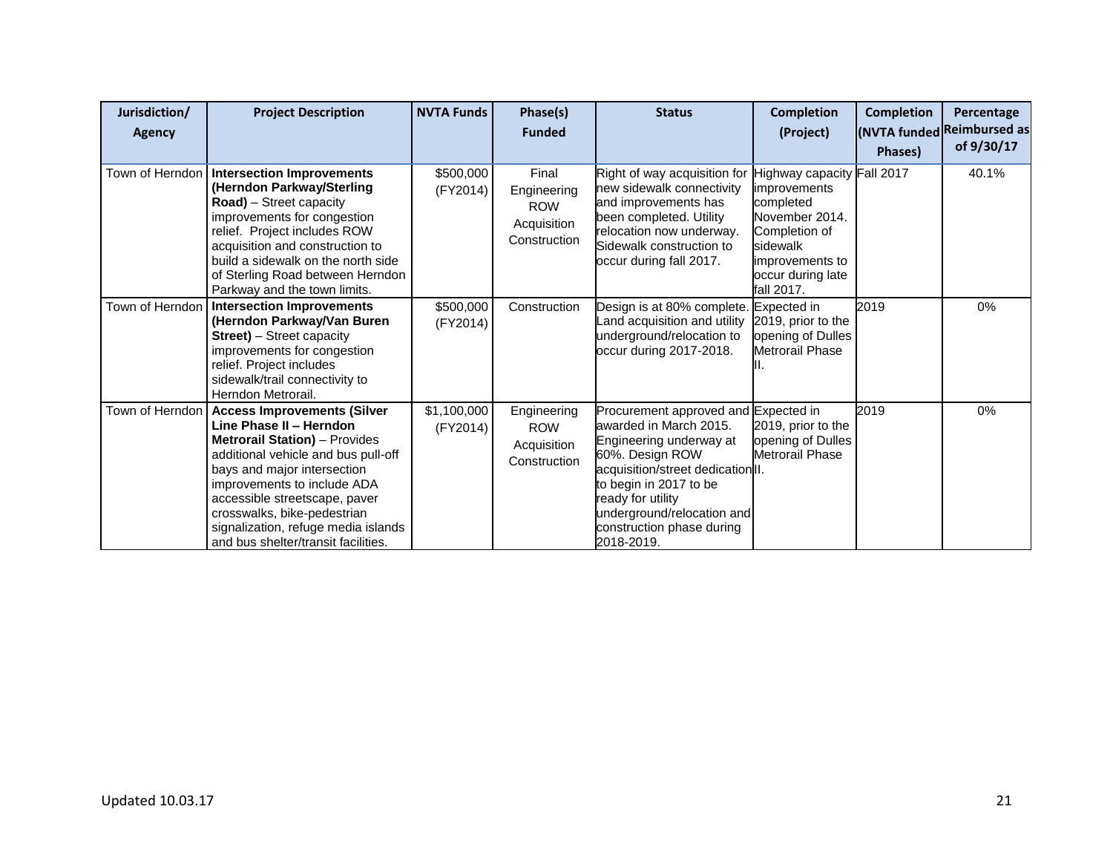| Jurisdiction/<br>Agency | <b>Project Description</b>                                                                                                                                                                                                                                                                                                                               | <b>NVTA Funds</b>       | Phase(s)<br><b>Funded</b>                                         | <b>Status</b>                                                                                                                                                                                                                                                             | <b>Completion</b><br>(Project)                                                                                                                               | <b>Completion</b><br>Phases) | Percentage<br>(NVTA funded Reimbursed as<br>of 9/30/17 |
|-------------------------|----------------------------------------------------------------------------------------------------------------------------------------------------------------------------------------------------------------------------------------------------------------------------------------------------------------------------------------------------------|-------------------------|-------------------------------------------------------------------|---------------------------------------------------------------------------------------------------------------------------------------------------------------------------------------------------------------------------------------------------------------------------|--------------------------------------------------------------------------------------------------------------------------------------------------------------|------------------------------|--------------------------------------------------------|
| Town of Herndon         | <b>Intersection Improvements</b><br>(Herndon Parkway/Sterling<br>Road) - Street capacity<br>improvements for congestion<br>relief. Project includes ROW<br>acquisition and construction to<br>build a sidewalk on the north side<br>of Sterling Road between Herndon<br>Parkway and the town limits.                                                     | \$500,000<br>(FY2014)   | Final<br>Engineering<br><b>ROW</b><br>Acquisition<br>Construction | Right of way acquisition for<br>new sidewalk connectivity<br>and improvements has<br>been completed. Utility<br>relocation now underway.<br>Sidewalk construction to<br>occur during fall 2017.                                                                           | Highway capacity Fall 2017<br>improvements<br>completed<br>November 2014.<br>Completion of<br>sidewalk<br>improvements to<br>occur during late<br>fall 2017. |                              | 40.1%                                                  |
| Town of Herndon         | <b>Intersection Improvements</b><br>(Herndon Parkway/Van Buren<br><b>Street)</b> – Street capacity<br>improvements for congestion<br>relief. Project includes<br>sidewalk/trail connectivity to<br>Herndon Metrorail.                                                                                                                                    | \$500,000<br>(FY2014)   | Construction                                                      | Design is at 80% complete.<br>Land acquisition and utility<br>underground/relocation to<br>occur during 2017-2018.                                                                                                                                                        | Expected in<br>2019, prior to the<br>opening of Dulles<br><b>Metrorail Phase</b>                                                                             | 2019                         | 0%                                                     |
| Town of Herndon         | <b>Access Improvements (Silver</b><br>Line Phase II - Herndon<br><b>Metrorail Station)</b> - Provides<br>additional vehicle and bus pull-off<br>bays and major intersection<br>improvements to include ADA<br>accessible streetscape, paver<br>crosswalks, bike-pedestrian<br>signalization, refuge media islands<br>and bus shelter/transit facilities. | \$1,100,000<br>(FY2014) | Engineering<br><b>ROW</b><br>Acquisition<br>Construction          | Procurement approved and Expected in<br>awarded in March 2015.<br>Engineering underway at<br>60%. Design ROW<br>acquisition/street dedication II.<br>to begin in 2017 to be<br>ready for utility<br>underground/relocation and<br>construction phase during<br>2018-2019. | 2019, prior to the<br>opening of Dulles<br>Metrorail Phase                                                                                                   | 2019                         | 0%                                                     |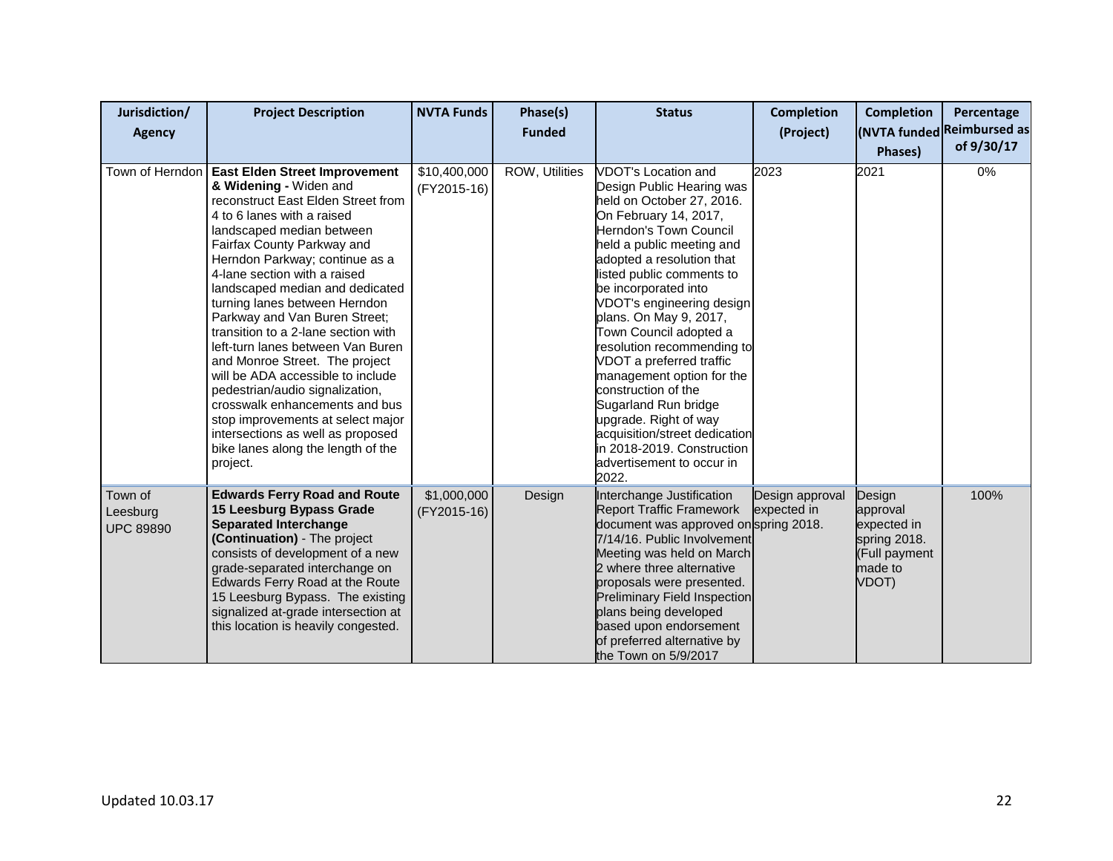| Jurisdiction/                           | <b>Project Description</b>                                                                                                                                                                                                                                                                                                                                                                                                                                                                                                                                                                                                                                                                                               | <b>NVTA Funds</b>           | Phase(s)       | <b>Status</b>                                                                                                                                                                                                                                                                                                                                                                                                                                                                                                                                                                                               | <b>Completion</b>              | <b>Completion</b>                                                                      | Percentage                 |
|-----------------------------------------|--------------------------------------------------------------------------------------------------------------------------------------------------------------------------------------------------------------------------------------------------------------------------------------------------------------------------------------------------------------------------------------------------------------------------------------------------------------------------------------------------------------------------------------------------------------------------------------------------------------------------------------------------------------------------------------------------------------------------|-----------------------------|----------------|-------------------------------------------------------------------------------------------------------------------------------------------------------------------------------------------------------------------------------------------------------------------------------------------------------------------------------------------------------------------------------------------------------------------------------------------------------------------------------------------------------------------------------------------------------------------------------------------------------------|--------------------------------|----------------------------------------------------------------------------------------|----------------------------|
| Agency                                  |                                                                                                                                                                                                                                                                                                                                                                                                                                                                                                                                                                                                                                                                                                                          |                             | <b>Funded</b>  |                                                                                                                                                                                                                                                                                                                                                                                                                                                                                                                                                                                                             | (Project)                      |                                                                                        | (NVTA funded Reimbursed as |
|                                         |                                                                                                                                                                                                                                                                                                                                                                                                                                                                                                                                                                                                                                                                                                                          |                             |                |                                                                                                                                                                                                                                                                                                                                                                                                                                                                                                                                                                                                             |                                | Phases)                                                                                | of 9/30/17                 |
| Town of Herndon                         | <b>East Elden Street Improvement</b><br>& Widening - Widen and<br>reconstruct East Elden Street from<br>4 to 6 lanes with a raised<br>landscaped median between<br>Fairfax County Parkway and<br>Herndon Parkway; continue as a<br>4-lane section with a raised<br>landscaped median and dedicated<br>turning lanes between Herndon<br>Parkway and Van Buren Street;<br>transition to a 2-lane section with<br>left-turn lanes between Van Buren<br>and Monroe Street. The project<br>will be ADA accessible to include<br>pedestrian/audio signalization,<br>crosswalk enhancements and bus<br>stop improvements at select major<br>intersections as well as proposed<br>bike lanes along the length of the<br>project. | \$10,400,000<br>(FY2015-16) | ROW, Utilities | <b>VDOT's Location and</b><br>Design Public Hearing was<br>held on October 27, 2016.<br>On February 14, 2017,<br>Herndon's Town Council<br>held a public meeting and<br>adopted a resolution that<br>listed public comments to<br>be incorporated into<br>VDOT's engineering design<br>plans. On May 9, 2017,<br>Town Council adopted a<br>resolution recommending to<br>VDOT a preferred traffic<br>management option for the<br>construction of the<br>Sugarland Run bridge<br>upgrade. Right of way<br>acquisition/street dedication<br>in 2018-2019. Construction<br>advertisement to occur in<br>2022. | 2023                           | 2021                                                                                   | 0%                         |
| Town of<br>Leesburg<br><b>UPC 89890</b> | <b>Edwards Ferry Road and Route</b><br>15 Leesburg Bypass Grade<br><b>Separated Interchange</b><br>(Continuation) - The project<br>consists of development of a new<br>grade-separated interchange on<br>Edwards Ferry Road at the Route<br>15 Leesburg Bypass. The existing<br>signalized at-grade intersection at<br>this location is heavily congested.                                                                                                                                                                                                                                                                                                                                                               | \$1,000,000<br>(FY2015-16)  | Design         | Interchange Justification<br><b>Report Traffic Framework</b><br>document was approved on spring 2018.<br>7/14/16. Public Involvement<br>Meeting was held on March<br>2 where three alternative<br>proposals were presented.<br><b>Preliminary Field Inspection</b><br>plans being developed<br>based upon endorsement<br>of preferred alternative by<br>the Town on 5/9/2017                                                                                                                                                                                                                                | Design approval<br>expected in | Design<br>approval<br>expected in<br>spring 2018.<br>(Full payment<br>made to<br>VDOT) | 100%                       |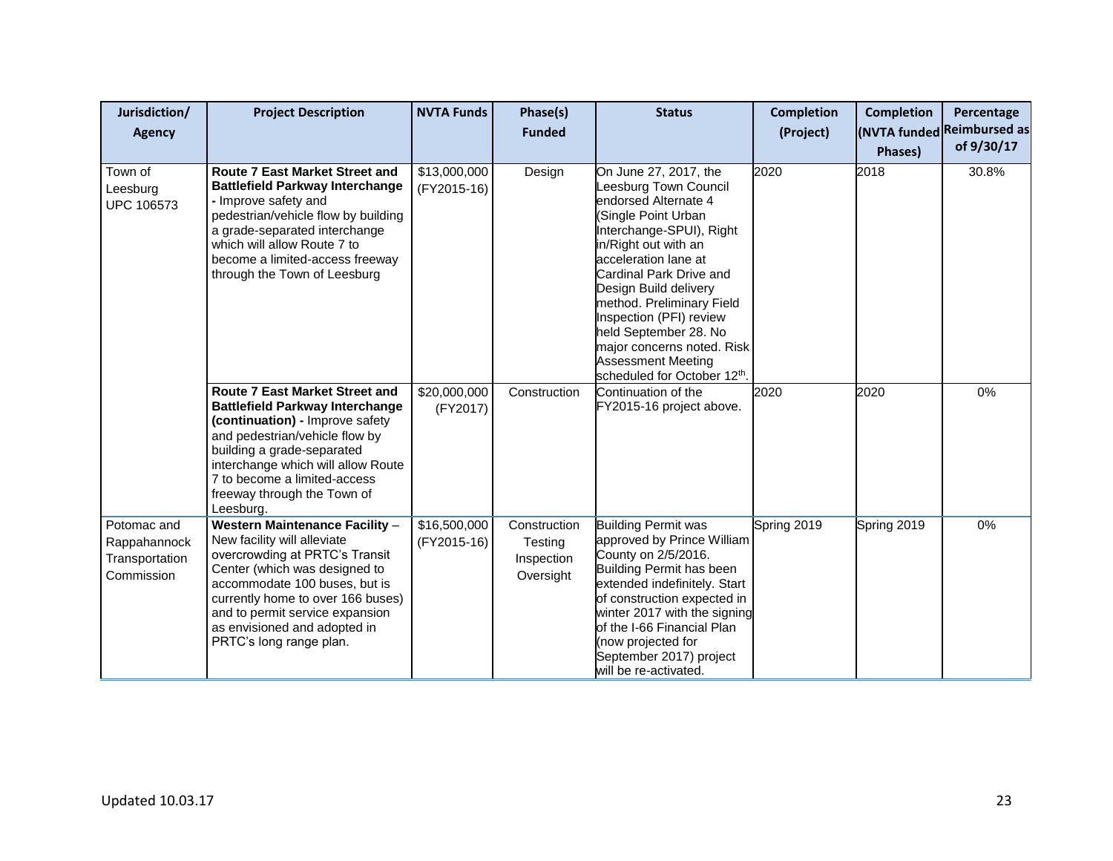| Jurisdiction/<br><b>Agency</b>                              | <b>Project Description</b>                                                                                                                                                                                                                                                                                  | <b>NVTA Funds</b>           | Phase(s)<br><b>Funded</b>                          | <b>Status</b>                                                                                                                                                                                                                                                                                                                                                                                            | <b>Completion</b><br>(Project) | <b>Completion</b><br>Phases) | Percentage<br>(NVTA funded Reimbursed as<br>of 9/30/17 |
|-------------------------------------------------------------|-------------------------------------------------------------------------------------------------------------------------------------------------------------------------------------------------------------------------------------------------------------------------------------------------------------|-----------------------------|----------------------------------------------------|----------------------------------------------------------------------------------------------------------------------------------------------------------------------------------------------------------------------------------------------------------------------------------------------------------------------------------------------------------------------------------------------------------|--------------------------------|------------------------------|--------------------------------------------------------|
| Town of<br>Leesburg<br><b>UPC 106573</b>                    | <b>Route 7 East Market Street and</b><br><b>Battlefield Parkway Interchange</b><br>- Improve safety and<br>pedestrian/vehicle flow by building<br>a grade-separated interchange<br>which will allow Route 7 to<br>become a limited-access freeway<br>through the Town of Leesburg                           | \$13,000,000<br>(FY2015-16) | Design                                             | On June 27, 2017, the<br>Leesburg Town Council<br>endorsed Alternate 4<br>(Single Point Urban<br>Interchange-SPUI), Right<br>in/Right out with an<br>acceleration lane at<br>Cardinal Park Drive and<br>Design Build delivery<br>method. Preliminary Field<br>Inspection (PFI) review<br>held September 28. No<br>major concerns noted. Risk<br><b>Assessment Meeting</b><br>scheduled for October 12th. | 2020                           | 2018                         | 30.8%                                                  |
|                                                             | <b>Route 7 East Market Street and</b><br><b>Battlefield Parkway Interchange</b><br>(continuation) - Improve safety<br>and pedestrian/vehicle flow by<br>building a grade-separated<br>interchange which will allow Route<br>7 to become a limited-access<br>freeway through the Town of<br>Leesburg.        | \$20,000,000<br>(FY2017)    | Construction                                       | Continuation of the<br>FY2015-16 project above.                                                                                                                                                                                                                                                                                                                                                          | 2020                           | 2020                         | 0%                                                     |
| Potomac and<br>Rappahannock<br>Transportation<br>Commission | <b>Western Maintenance Facility -</b><br>New facility will alleviate<br>overcrowding at PRTC's Transit<br>Center (which was designed to<br>accommodate 100 buses, but is<br>currently home to over 166 buses)<br>and to permit service expansion<br>as envisioned and adopted in<br>PRTC's long range plan. | \$16,500,000<br>(FY2015-16) | Construction<br>Testing<br>Inspection<br>Oversight | <b>Building Permit was</b><br>approved by Prince William<br>County on 2/5/2016.<br>Building Permit has been<br>extended indefinitely. Start<br>of construction expected in<br>winter 2017 with the signing<br>of the I-66 Financial Plan<br>(now projected for<br>September 2017) project<br>will be re-activated.                                                                                       | Spring 2019                    | Spring 2019                  | 0%                                                     |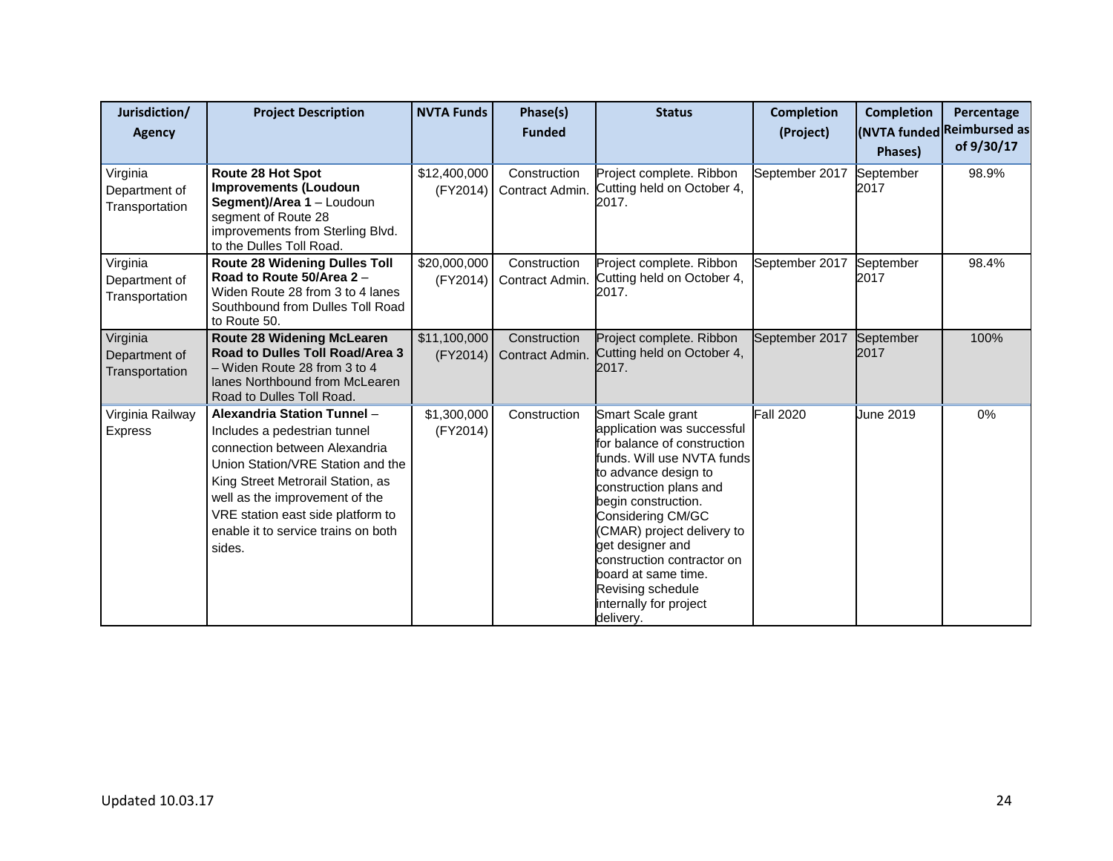| Jurisdiction/<br><b>Agency</b>              | <b>Project Description</b>                                                                                                                                                                                                                                                                     | <b>NVTA Funds</b>        | Phase(s)<br><b>Funded</b>       | <b>Status</b>                                                                                                                                                                                                                                                                                                                                                                 | <b>Completion</b><br>(Project) | <b>Completion</b><br>Phases) | Percentage<br>(NVTA funded Reimbursed as<br>of 9/30/17 |
|---------------------------------------------|------------------------------------------------------------------------------------------------------------------------------------------------------------------------------------------------------------------------------------------------------------------------------------------------|--------------------------|---------------------------------|-------------------------------------------------------------------------------------------------------------------------------------------------------------------------------------------------------------------------------------------------------------------------------------------------------------------------------------------------------------------------------|--------------------------------|------------------------------|--------------------------------------------------------|
| Virginia<br>Department of<br>Transportation | Route 28 Hot Spot<br><b>Improvements (Loudoun</b><br>Segment)/Area 1 - Loudoun<br>segment of Route 28<br>improvements from Sterling Blvd.<br>to the Dulles Toll Road.                                                                                                                          | \$12,400,000<br>(FY2014) | Construction<br>Contract Admin. | Project complete. Ribbon<br>Cutting held on October 4,<br>2017.                                                                                                                                                                                                                                                                                                               | September 2017                 | September<br>2017            | 98.9%                                                  |
| Virginia<br>Department of<br>Transportation | <b>Route 28 Widening Dulles Toll</b><br>Road to Route 50/Area 2 -<br>Widen Route 28 from 3 to 4 lanes<br>Southbound from Dulles Toll Road<br>to Route 50.                                                                                                                                      | \$20,000,000<br>(FY2014) | Construction<br>Contract Admin. | Project complete. Ribbon<br>Cutting held on October 4,<br>2017.                                                                                                                                                                                                                                                                                                               | September 2017                 | September<br>2017            | 98.4%                                                  |
| Virginia<br>Department of<br>Transportation | <b>Route 28 Widening McLearen</b><br>Road to Dulles Toll Road/Area 3<br>- Widen Route 28 from 3 to 4<br>lanes Northbound from McLearen<br>Road to Dulles Toll Road.                                                                                                                            | \$11,100,000<br>(FY2014) | Construction<br>Contract Admin. | Project complete. Ribbon<br>Cutting held on October 4,<br>2017.                                                                                                                                                                                                                                                                                                               | September 2017                 | September<br>2017            | 100%                                                   |
| Virginia Railway<br>Express                 | Alexandria Station Tunnel -<br>Includes a pedestrian tunnel<br>connection between Alexandria<br>Union Station/VRE Station and the<br>King Street Metrorail Station, as<br>well as the improvement of the<br>VRE station east side platform to<br>enable it to service trains on both<br>sides. | \$1,300,000<br>(FY2014)  | Construction                    | Smart Scale grant<br>application was successful<br>for balance of construction<br>funds. Will use NVTA funds<br>to advance design to<br>construction plans and<br>begin construction.<br>Considering CM/GC<br>(CMAR) project delivery to<br>get designer and<br>construction contractor on<br>board at same time.<br>Revising schedule<br>internally for project<br>delivery. | <b>Fall 2020</b>               | June 2019                    | 0%                                                     |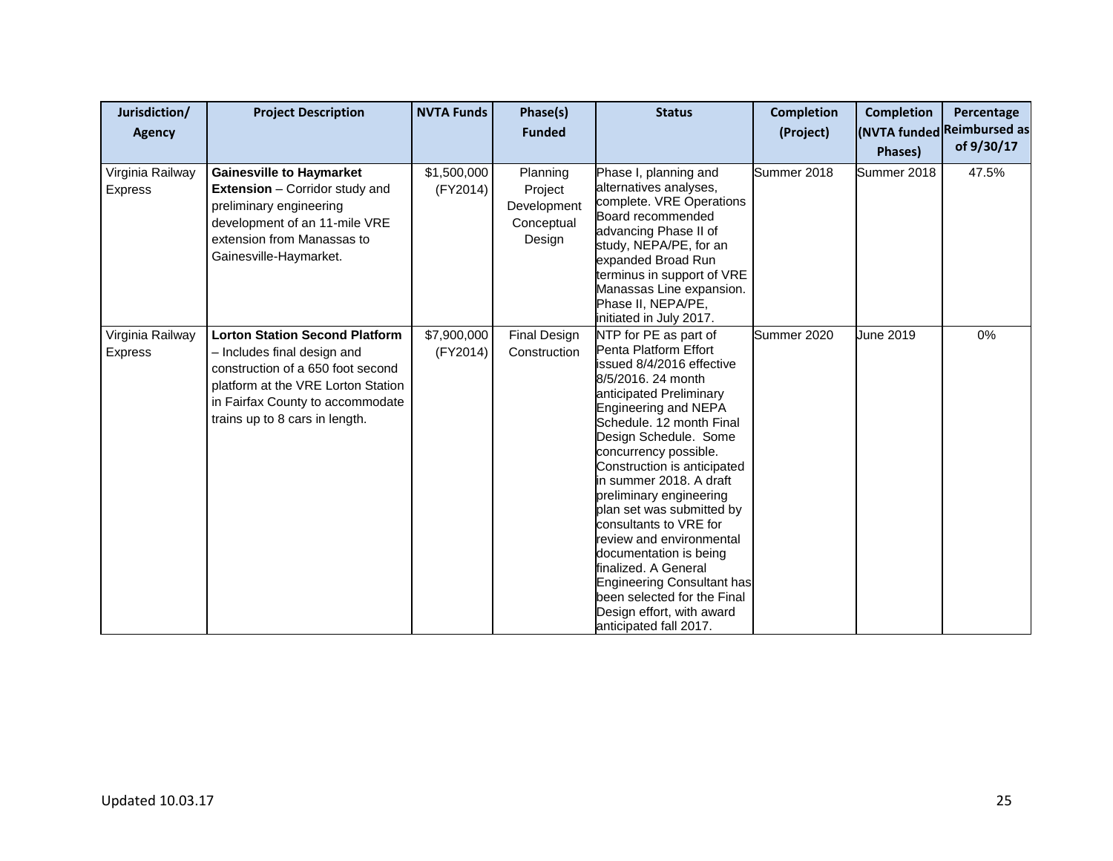| Jurisdiction/<br><b>Agency</b> | <b>Project Description</b>                                                                                                                                                                                            | <b>NVTA Funds</b>       | Phase(s)<br><b>Funded</b>                                  | <b>Status</b>                                                                                                                                                                                                                                                                                                                                                                                                                                                                                                                                                                           | <b>Completion</b><br>(Project) | <b>Completion</b><br>Phases) | Percentage<br>(NVTA funded Reimbursed as<br>of 9/30/17 |
|--------------------------------|-----------------------------------------------------------------------------------------------------------------------------------------------------------------------------------------------------------------------|-------------------------|------------------------------------------------------------|-----------------------------------------------------------------------------------------------------------------------------------------------------------------------------------------------------------------------------------------------------------------------------------------------------------------------------------------------------------------------------------------------------------------------------------------------------------------------------------------------------------------------------------------------------------------------------------------|--------------------------------|------------------------------|--------------------------------------------------------|
| Virginia Railway<br>Express    | <b>Gainesville to Haymarket</b><br><b>Extension</b> – Corridor study and<br>preliminary engineering<br>development of an 11-mile VRE<br>extension from Manassas to<br>Gainesville-Haymarket.                          | \$1,500,000<br>(FY2014) | Planning<br>Project<br>Development<br>Conceptual<br>Design | Phase I, planning and<br>alternatives analyses,<br>complete. VRE Operations<br>Board recommended<br>advancing Phase II of<br>study, NEPA/PE, for an<br>expanded Broad Run<br>terminus in support of VRE<br>Manassas Line expansion.<br>Phase II, NEPA/PE,<br>initiated in July 2017.                                                                                                                                                                                                                                                                                                    | Summer 2018                    | Summer 2018                  | 47.5%                                                  |
| Virginia Railway<br>Express    | <b>Lorton Station Second Platform</b><br>- Includes final design and<br>construction of a 650 foot second<br>platform at the VRE Lorton Station<br>in Fairfax County to accommodate<br>trains up to 8 cars in length. | \$7,900,000<br>(FY2014) | <b>Final Design</b><br>Construction                        | NTP for PE as part of<br>Penta Platform Effort<br>issued 8/4/2016 effective<br>8/5/2016, 24 month<br>anticipated Preliminary<br>Engineering and NEPA<br>Schedule, 12 month Final<br>Design Schedule. Some<br>concurrency possible.<br>Construction is anticipated<br>in summer 2018. A draft<br>preliminary engineering<br>plan set was submitted by<br>consultants to VRE for<br>review and environmental<br>documentation is being<br>finalized. A General<br><b>Engineering Consultant has</b><br>been selected for the Final<br>Design effort, with award<br>anticipated fall 2017. | Summer 2020                    | June 2019                    | 0%                                                     |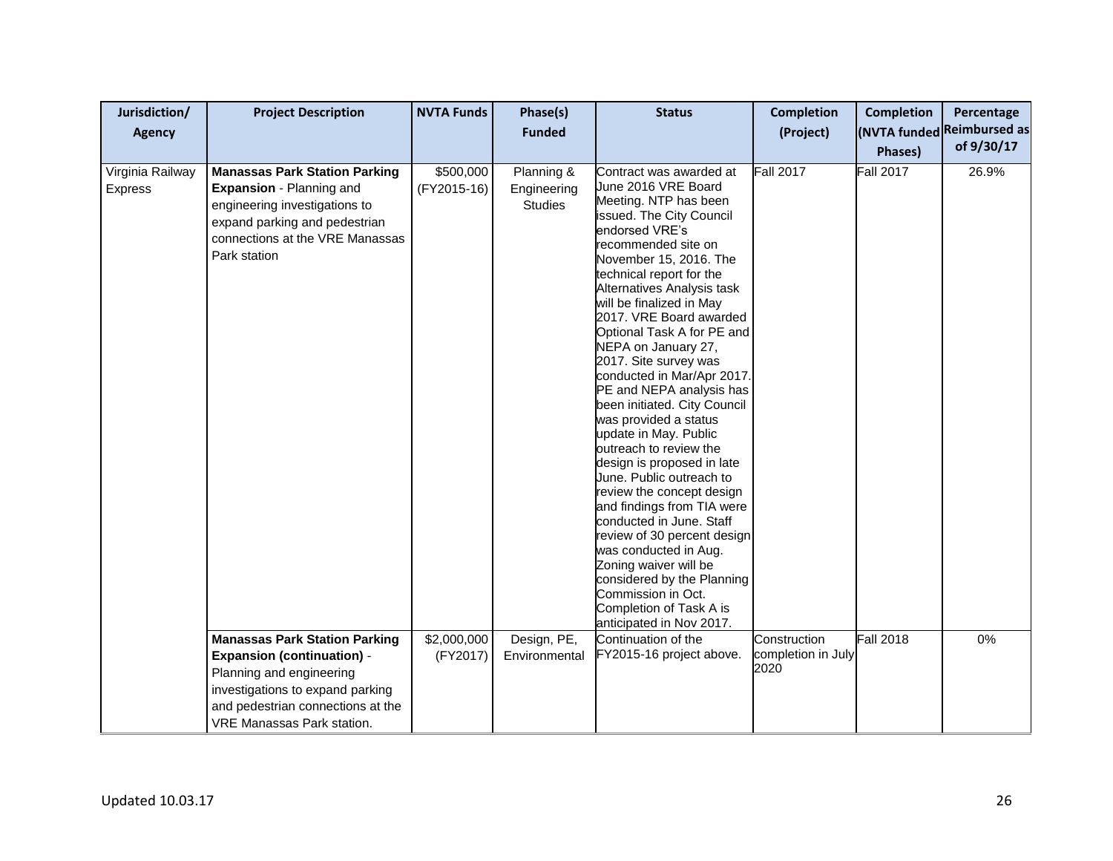| Jurisdiction/<br><b>Agency</b> | <b>Project Description</b>                                                                                                                                                                                                    | <b>NVTA Funds</b>                       | Phase(s)<br><b>Funded</b>                                  | <b>Status</b>                                                                                                                                                                                                                                                                                                                                                                                                                                                                                                                                                                                                                                                                                                                                                                                                                                                                                                   | <b>Completion</b><br>(Project)   | <b>Completion</b><br>Phases)         | Percentage<br>(NVTA funded Reimbursed as<br>of 9/30/17 |
|--------------------------------|-------------------------------------------------------------------------------------------------------------------------------------------------------------------------------------------------------------------------------|-----------------------------------------|------------------------------------------------------------|-----------------------------------------------------------------------------------------------------------------------------------------------------------------------------------------------------------------------------------------------------------------------------------------------------------------------------------------------------------------------------------------------------------------------------------------------------------------------------------------------------------------------------------------------------------------------------------------------------------------------------------------------------------------------------------------------------------------------------------------------------------------------------------------------------------------------------------------------------------------------------------------------------------------|----------------------------------|--------------------------------------|--------------------------------------------------------|
| Virginia Railway<br>Express    | <b>Manassas Park Station Parking</b><br>Expansion - Planning and<br>engineering investigations to<br>expand parking and pedestrian<br>connections at the VRE Manassas<br>Park station<br><b>Manassas Park Station Parking</b> | \$500,000<br>(FY2015-16)<br>\$2,000,000 | Planning &<br>Engineering<br><b>Studies</b><br>Design, PE, | Contract was awarded at<br>June 2016 VRE Board<br>Meeting. NTP has been<br>issued. The City Council<br>endorsed VRE's<br>recommended site on<br>November 15, 2016. The<br>technical report for the<br>Alternatives Analysis task<br>will be finalized in May<br>2017. VRE Board awarded<br>Optional Task A for PE and<br>NEPA on January 27,<br>2017. Site survey was<br>conducted in Mar/Apr 2017.<br>PE and NEPA analysis has<br>been initiated. City Council<br>was provided a status<br>update in May. Public<br>outreach to review the<br>design is proposed in late<br>June. Public outreach to<br>review the concept design<br>and findings from TIA were<br>conducted in June. Staff<br>review of 30 percent design<br>was conducted in Aug.<br>Zoning waiver will be<br>considered by the Planning<br>Commission in Oct.<br>Completion of Task A is<br>anticipated in Nov 2017.<br>Continuation of the | <b>Fall 2017</b><br>Construction | <b>Fall 2017</b><br><b>Fall 2018</b> | 26.9%<br>0%                                            |
|                                | <b>Expansion (continuation) -</b><br>Planning and engineering<br>investigations to expand parking<br>and pedestrian connections at the<br><b>VRE Manassas Park station.</b>                                                   | (FY2017)                                | Environmental                                              | FY2015-16 project above.                                                                                                                                                                                                                                                                                                                                                                                                                                                                                                                                                                                                                                                                                                                                                                                                                                                                                        | completion in July<br>2020       |                                      |                                                        |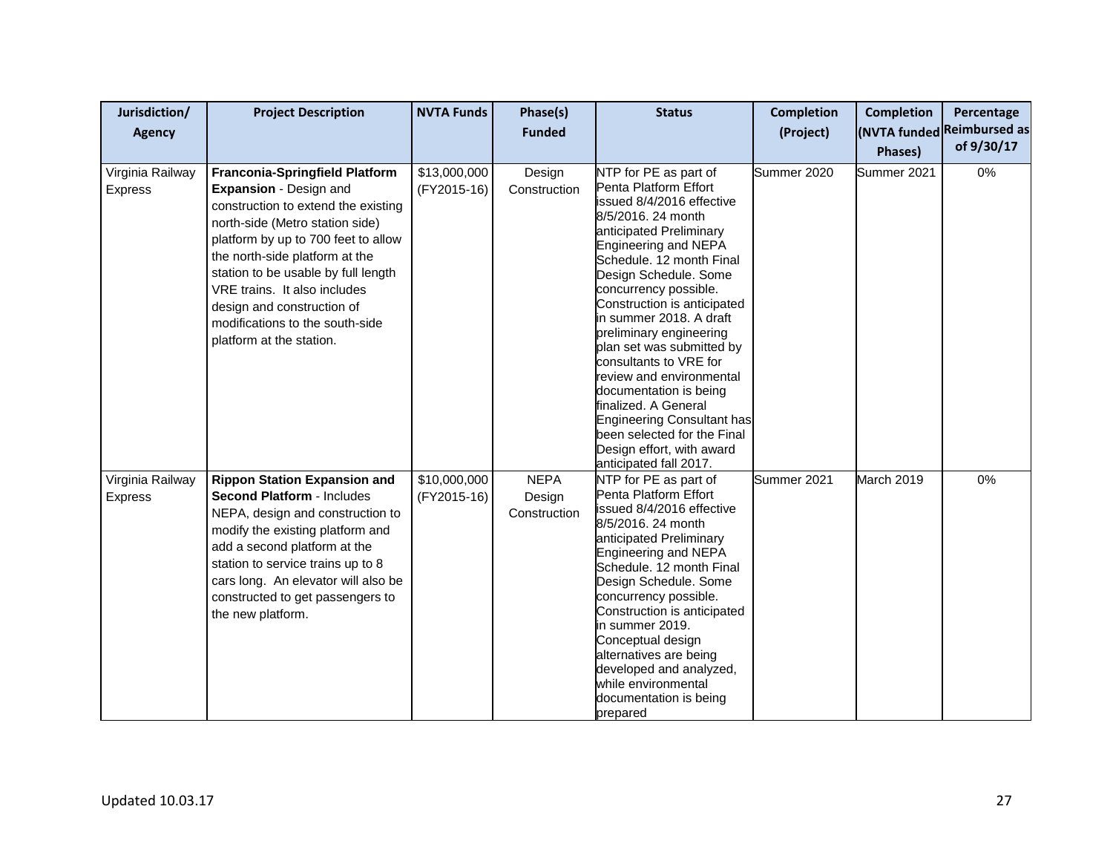| Jurisdiction/<br><b>Agency</b> | <b>Project Description</b>                                                                                                                                                                                                                                                                                                                                                             | <b>NVTA Funds</b>           | Phase(s)<br><b>Funded</b>             | <b>Status</b>                                                                                                                                                                                                                                                                                                                                                                                                                                                                                                                                                                           | <b>Completion</b><br>(Project) | <b>Completion</b><br>Phases) | Percentage<br>(NVTA funded Reimbursed as<br>of 9/30/17 |
|--------------------------------|----------------------------------------------------------------------------------------------------------------------------------------------------------------------------------------------------------------------------------------------------------------------------------------------------------------------------------------------------------------------------------------|-----------------------------|---------------------------------------|-----------------------------------------------------------------------------------------------------------------------------------------------------------------------------------------------------------------------------------------------------------------------------------------------------------------------------------------------------------------------------------------------------------------------------------------------------------------------------------------------------------------------------------------------------------------------------------------|--------------------------------|------------------------------|--------------------------------------------------------|
| Virginia Railway<br>Express    | <b>Franconia-Springfield Platform</b><br>Expansion - Design and<br>construction to extend the existing<br>north-side (Metro station side)<br>platform by up to 700 feet to allow<br>the north-side platform at the<br>station to be usable by full length<br>VRE trains. It also includes<br>design and construction of<br>modifications to the south-side<br>platform at the station. | \$13,000,000<br>(FY2015-16) | Design<br>Construction                | NTP for PE as part of<br>Penta Platform Effort<br>issued 8/4/2016 effective<br>8/5/2016. 24 month<br>anticipated Preliminary<br>Engineering and NEPA<br>Schedule, 12 month Final<br>Design Schedule. Some<br>concurrency possible.<br>Construction is anticipated<br>in summer 2018. A draft<br>preliminary engineering<br>plan set was submitted by<br>consultants to VRE for<br>review and environmental<br>documentation is being<br>finalized. A General<br><b>Engineering Consultant has</b><br>been selected for the Final<br>Design effort, with award<br>anticipated fall 2017. | Summer 2020                    | Summer 2021                  | 0%                                                     |
| Virginia Railway<br>Express    | <b>Rippon Station Expansion and</b><br><b>Second Platform - Includes</b><br>NEPA, design and construction to<br>modify the existing platform and<br>add a second platform at the<br>station to service trains up to 8<br>cars long. An elevator will also be<br>constructed to get passengers to<br>the new platform.                                                                  | \$10,000,000<br>(FY2015-16) | <b>NEPA</b><br>Design<br>Construction | NTP for PE as part of<br>Penta Platform Effort<br>issued 8/4/2016 effective<br>8/5/2016. 24 month<br>anticipated Preliminary<br>Engineering and NEPA<br>Schedule. 12 month Final<br>Design Schedule. Some<br>concurrency possible.<br>Construction is anticipated<br>in summer 2019.<br>Conceptual design<br>alternatives are being<br>developed and analyzed,<br>while environmental<br>documentation is being<br>prepared                                                                                                                                                             | Summer 2021                    | March 2019                   | $0\%$                                                  |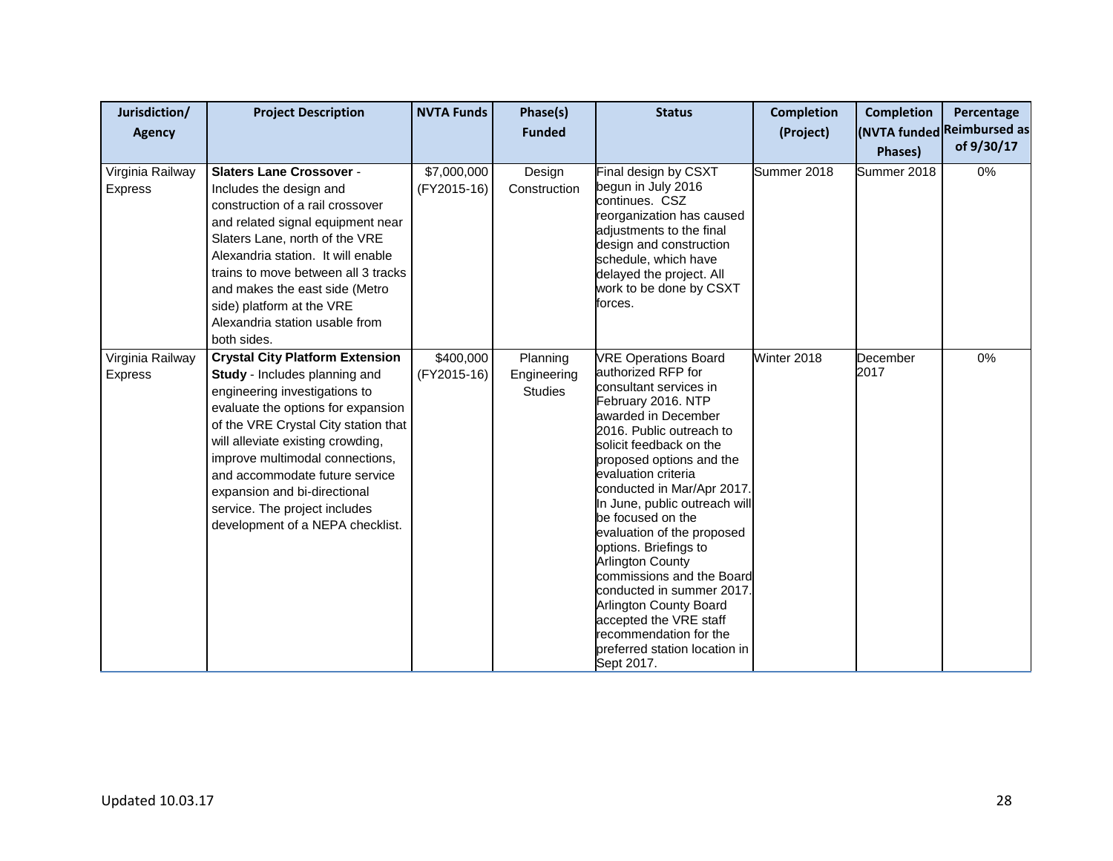| Jurisdiction/<br><b>Agency</b>     | <b>Project Description</b>                                                                                                                                                                                                                                                                                                                                                                            | <b>NVTA Funds</b>          | Phase(s)<br><b>Funded</b>                 | <b>Status</b>                                                                                                                                                                                                                                                                                                                                                                                                                                                                                                                                                                                   | <b>Completion</b><br>(Project) | <b>Completion</b><br>Phases) | Percentage<br>(NVTA funded Reimbursed as<br>of 9/30/17 |
|------------------------------------|-------------------------------------------------------------------------------------------------------------------------------------------------------------------------------------------------------------------------------------------------------------------------------------------------------------------------------------------------------------------------------------------------------|----------------------------|-------------------------------------------|-------------------------------------------------------------------------------------------------------------------------------------------------------------------------------------------------------------------------------------------------------------------------------------------------------------------------------------------------------------------------------------------------------------------------------------------------------------------------------------------------------------------------------------------------------------------------------------------------|--------------------------------|------------------------------|--------------------------------------------------------|
| Virginia Railway<br><b>Express</b> | <b>Slaters Lane Crossover -</b><br>Includes the design and<br>construction of a rail crossover<br>and related signal equipment near<br>Slaters Lane, north of the VRE<br>Alexandria station. It will enable<br>trains to move between all 3 tracks<br>and makes the east side (Metro<br>side) platform at the VRE<br>Alexandria station usable from<br>both sides.                                    | \$7,000,000<br>(FY2015-16) | Design<br>Construction                    | Final design by CSXT<br>begun in July 2016<br>continues. CSZ<br>reorganization has caused<br>adjustments to the final<br>design and construction<br>schedule, which have<br>delayed the project. All<br>work to be done by CSXT<br>forces.                                                                                                                                                                                                                                                                                                                                                      | Summer 2018                    | Summer 2018                  | $0\%$                                                  |
| Virginia Railway<br>Express        | <b>Crystal City Platform Extension</b><br>Study - Includes planning and<br>engineering investigations to<br>evaluate the options for expansion<br>of the VRE Crystal City station that<br>will alleviate existing crowding,<br>improve multimodal connections,<br>and accommodate future service<br>expansion and bi-directional<br>service. The project includes<br>development of a NEPA checklist. | \$400,000<br>(FY2015-16)   | Planning<br>Engineering<br><b>Studies</b> | <b>VRE Operations Board</b><br>authorized RFP for<br>consultant services in<br>February 2016. NTP<br>awarded in December<br>2016. Public outreach to<br>solicit feedback on the<br>proposed options and the<br>evaluation criteria<br>conducted in Mar/Apr 2017.<br>In June, public outreach will<br>be focused on the<br>evaluation of the proposed<br>options. Briefings to<br><b>Arlington County</b><br>commissions and the Board<br>conducted in summer 2017.<br>Arlington County Board<br>accepted the VRE staff<br>recommendation for the<br>preferred station location in<br>Sept 2017. | Winter 2018                    | December<br>2017             | 0%                                                     |